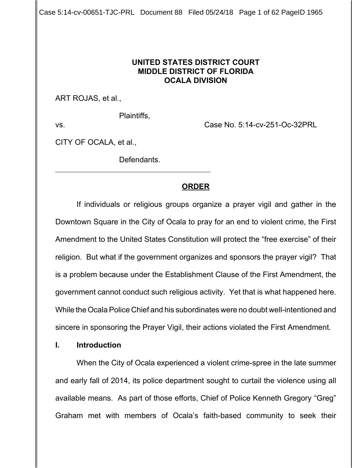Case 5:14-cv-00651-TJC-PRL Document 88 Filed 05/24/18 Page 1 of 62 PageID 1965

## **UNITED STATES DISTRICT COURT MIDDLE DISTRICT OF FLORIDA OCALA DIVISION**

ART ROJAS, et al.,

Plaintiffs,

 $\overline{a}$ 

vs. Case No. 5:14-cv-251-Oc-32PRL

CITY OF OCALA, et al.,

Defendants.

# **ORDER**

If individuals or religious groups organize a prayer vigil and gather in the Downtown Square in the City of Ocala to pray for an end to violent crime, the First Amendment to the United States Constitution will protect the "free exercise" of their religion. But what if the government organizes and sponsors the prayer vigil? That is a problem because under the Establishment Clause of the First Amendment, the government cannot conduct such religious activity. Yet that is what happened here. While the Ocala Police Chief and his subordinates were no doubt well-intentioned and sincere in sponsoring the Prayer Vigil, their actions violated the First Amendment.

## **I. Introduction**

When the City of Ocala experienced a violent crime-spree in the late summer and early fall of 2014, its police department sought to curtail the violence using all available means. As part of those efforts, Chief of Police Kenneth Gregory "Greg" Graham met with members of Ocala's faith-based community to seek their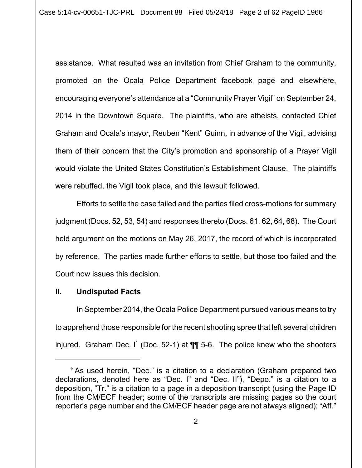assistance. What resulted was an invitation from Chief Graham to the community, promoted on the Ocala Police Department facebook page and elsewhere, encouraging everyone's attendance at a "Community Prayer Vigil" on September 24, 2014 in the Downtown Square. The plaintiffs, who are atheists, contacted Chief Graham and Ocala's mayor, Reuben "Kent" Guinn, in advance of the Vigil, advising them of their concern that the City's promotion and sponsorship of a Prayer Vigil would violate the United States Constitution's Establishment Clause. The plaintiffs were rebuffed, the Vigil took place, and this lawsuit followed.

Efforts to settle the case failed and the parties filed cross-motions for summary judgment (Docs. 52, 53, 54) and responses thereto (Docs. 61, 62, 64, 68). The Court held argument on the motions on May 26, 2017, the record of which is incorporated by reference. The parties made further efforts to settle, but those too failed and the Court now issues this decision.

## **II. Undisputed Facts**

In September 2014, the Ocala Police Department pursued various means to try to apprehend those responsible for the recent shooting spree that left several children injured. Graham Dec. I<sup>1</sup> (Doc. 52-1) at  $\P\P$  5-6. The police knew who the shooters

<sup>1</sup> "As used herein, "Dec." is a citation to a declaration (Graham prepared two declarations, denoted here as "Dec. I" and "Dec. II"), "Depo." is a citation to a deposition, "Tr." is a citation to a page in a deposition transcript (using the Page ID from the CM/ECF header; some of the transcripts are missing pages so the court reporter's page number and the CM/ECF header page are not always aligned); "Aff."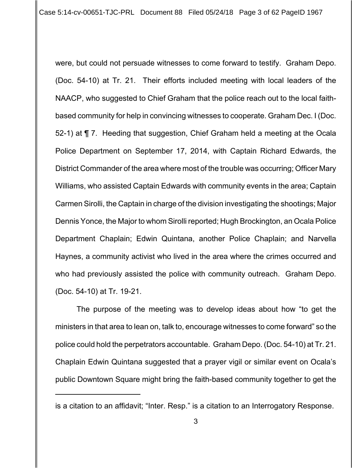were, but could not persuade witnesses to come forward to testify. Graham Depo. (Doc. 54-10) at Tr. 21. Their efforts included meeting with local leaders of the NAACP, who suggested to Chief Graham that the police reach out to the local faithbased community for help in convincing witnesses to cooperate. Graham Dec. I (Doc. 52-1) at ¶ 7. Heeding that suggestion, Chief Graham held a meeting at the Ocala Police Department on September 17, 2014, with Captain Richard Edwards, the District Commander of the area where most of the trouble was occurring; Officer Mary Williams, who assisted Captain Edwards with community events in the area; Captain Carmen Sirolli, the Captain in charge of the division investigating the shootings; Major Dennis Yonce, the Major to whom Sirolli reported; Hugh Brockington, an Ocala Police Department Chaplain; Edwin Quintana, another Police Chaplain; and Narvella Haynes, a community activist who lived in the area where the crimes occurred and who had previously assisted the police with community outreach. Graham Depo. (Doc. 54-10) at Tr. 19-21.

The purpose of the meeting was to develop ideas about how "to get the ministers in that area to lean on, talk to, encourage witnesses to come forward" so the police could hold the perpetrators accountable. Graham Depo. (Doc. 54-10) at Tr. 21. Chaplain Edwin Quintana suggested that a prayer vigil or similar event on Ocala's public Downtown Square might bring the faith-based community together to get the

is a citation to an affidavit; "Inter. Resp." is a citation to an Interrogatory Response.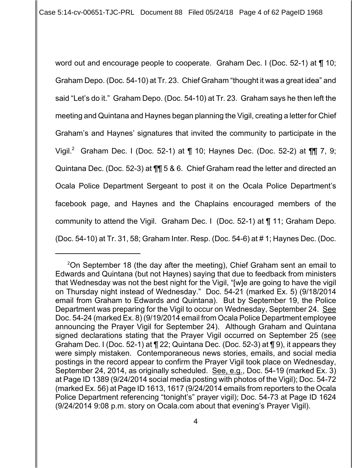word out and encourage people to cooperate. Graham Dec. I (Doc. 52-1) at ¶ 10; Graham Depo. (Doc. 54-10) at Tr. 23. Chief Graham "thought it was a great idea" and said "Let's do it." Graham Depo. (Doc. 54-10) at Tr. 23. Graham says he then left the meeting and Quintana and Haynes began planning the Vigil, creating a letter for Chief Graham's and Haynes' signatures that invited the community to participate in the Vigil.<sup>2</sup> Graham Dec. I (Doc. 52-1) at ¶ 10; Haynes Dec. (Doc. 52-2) at ¶¶ 7, 9; Quintana Dec. (Doc. 52-3) at ¶¶ 5 & 6. Chief Graham read the letter and directed an Ocala Police Department Sergeant to post it on the Ocala Police Department's facebook page, and Haynes and the Chaplains encouraged members of the community to attend the Vigil. Graham Dec. I (Doc. 52-1) at ¶ 11; Graham Depo. (Doc. 54-10) at Tr. 31, 58; Graham Inter. Resp. (Doc. 54-6) at # 1; Haynes Dec. (Doc.

<sup>&</sup>lt;sup>2</sup>On September 18 (the day after the meeting), Chief Graham sent an email to Edwards and Quintana (but not Haynes) saying that due to feedback from ministers that Wednesday was not the best night for the Vigil, "[w]e are going to have the vigil on Thursday night instead of Wednesday." Doc. 54-21 (marked Ex. 5) (9/18/2014 email from Graham to Edwards and Quintana). But by September 19, the Police Department was preparing for the Vigil to occur on Wednesday, September 24. See Doc. 54-24 (marked Ex. 8) (9/19/2014 email from Ocala Police Department employee announcing the Prayer Vigil for September 24). Although Graham and Quintana signed declarations stating that the Prayer Vigil occurred on September 25 (see Graham Dec. I (Doc. 52-1) at ¶ 22; Quintana Dec. (Doc. 52-3) at ¶ 9), it appears they were simply mistaken. Contemporaneous news stories, emails, and social media postings in the record appear to confirm the Prayer Vigil took place on Wednesday, September 24, 2014, as originally scheduled. See, e.g., Doc. 54-19 (marked Ex. 3) at Page ID 1389 (9/24/2014 social media posting with photos of the Vigil); Doc. 54-72 (marked Ex. 56) at Page ID 1613, 1617 (9/24/2014 emails from reporters to the Ocala Police Department referencing "tonight's" prayer vigil); Doc. 54-73 at Page ID 1624 (9/24/2014 9:08 p.m. story on Ocala.com about that evening's Prayer Vigil).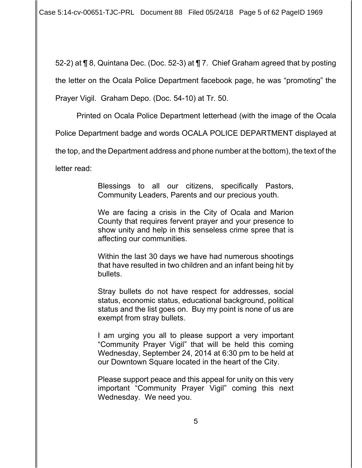Case 5:14-cv-00651-TJC-PRL Document 88 Filed 05/24/18 Page 5 of 62 PageID 1969

52-2) at ¶ 8, Quintana Dec. (Doc. 52-3) at ¶ 7. Chief Graham agreed that by posting the letter on the Ocala Police Department facebook page, he was "promoting" the

Prayer Vigil. Graham Depo. (Doc. 54-10) at Tr. 50.

Printed on Ocala Police Department letterhead (with the image of the Ocala

Police Department badge and words OCALA POLICE DEPARTMENT displayed at

the top, and the Department address and phone number at the bottom), the text of the

letter read:

Blessings to all our citizens, specifically Pastors, Community Leaders, Parents and our precious youth.

We are facing a crisis in the City of Ocala and Marion County that requires fervent prayer and your presence to show unity and help in this senseless crime spree that is affecting our communities.

Within the last 30 days we have had numerous shootings that have resulted in two children and an infant being hit by bullets.

Stray bullets do not have respect for addresses, social status, economic status, educational background, political status and the list goes on. Buy my point is none of us are exempt from stray bullets.

I am urging you all to please support a very important "Community Prayer Vigil" that will be held this coming Wednesday, September 24, 2014 at 6:30 pm to be held at our Downtown Square located in the heart of the City.

Please support peace and this appeal for unity on this very important "Community Prayer Vigil" coming this next Wednesday. We need you.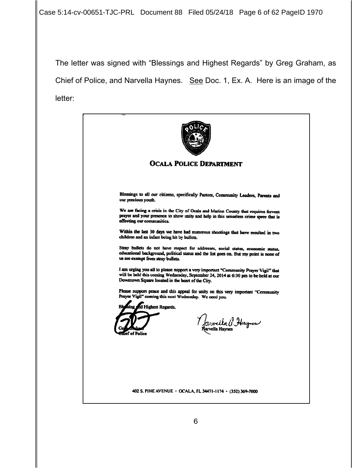Case 5:14-cv-00651-TJC-PRL Document 88 Filed 05/24/18 Page 6 of 62 PageID 1970

The letter was signed with "Blessings and Highest Regards" by Greg Graham, as Chief of Police, and Narvella Haynes. See Doc. 1, Ex. A. Here is an image of the letter:

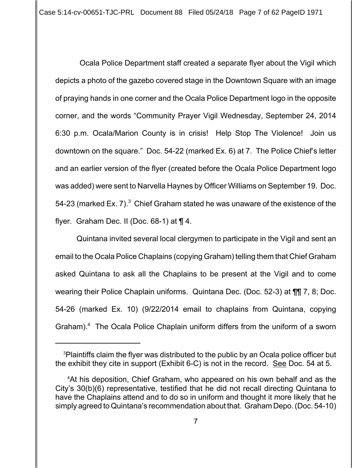Ocala Police Department staff created a separate flyer about the Vigil which depicts a photo of the gazebo covered stage in the Downtown Square with an image of praying hands in one corner and the Ocala Police Department logo in the opposite corner, and the words "Community Prayer Vigil Wednesday, September 24, 2014 6:30 p.m. Ocala/Marion County is in crisis! Help Stop The Violence! Join us downtown on the square." Doc. 54-22 (marked Ex. 6) at 7. The Police Chief's letter and an earlier version of the flyer (created before the Ocala Police Department logo was added) were sent to Narvella Haynes by Officer Williams on September 19. Doc. 54-23 (marked Ex. 7). $^3\,$  Chief Graham stated he was unaware of the existence of the flyer. Graham Dec. II (Doc. 68-1) at  $\P$  4.

Quintana invited several local clergymen to participate in the Vigil and sent an email to the Ocala Police Chaplains (copying Graham) telling them that Chief Graham asked Quintana to ask all the Chaplains to be present at the Vigil and to come wearing their Police Chaplain uniforms. Quintana Dec. (Doc. 52-3) at ¶¶ 7, 8; Doc. 54-26 (marked Ex. 10) (9/22/2014 email to chaplains from Quintana, copying Graham).<sup>4</sup> The Ocala Police Chaplain uniform differs from the uniform of a sworn

<sup>&</sup>lt;sup>3</sup>Plaintiffs claim the flyer was distributed to the public by an Ocala police officer but the exhibit they cite in support (Exhibit 6-C) is not in the record. See Doc. 54 at 5.

<sup>4</sup> At his deposition, Chief Graham, who appeared on his own behalf and as the City's 30(b)(6) representative, testified that he did not recall directing Quintana to have the Chaplains attend and to do so in uniform and thought it more likely that he simply agreed to Quintana's recommendation about that. Graham Depo. (Doc. 54-10)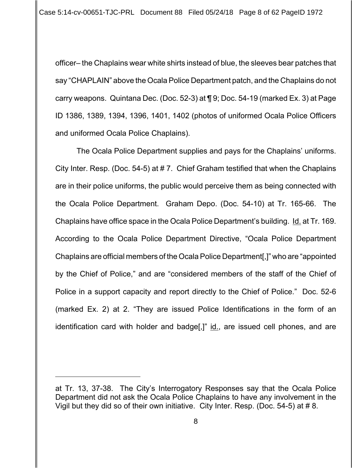officer– the Chaplains wear white shirts instead of blue, the sleeves bear patches that say "CHAPLAIN" above the Ocala Police Department patch, and the Chaplains do not carry weapons. Quintana Dec. (Doc. 52-3) at ¶ 9; Doc. 54-19 (marked Ex. 3) at Page ID 1386, 1389, 1394, 1396, 1401, 1402 (photos of uniformed Ocala Police Officers and uniformed Ocala Police Chaplains).

The Ocala Police Department supplies and pays for the Chaplains' uniforms. City Inter. Resp. (Doc. 54-5) at # 7. Chief Graham testified that when the Chaplains are in their police uniforms, the public would perceive them as being connected with the Ocala Police Department. Graham Depo. (Doc. 54-10) at Tr. 165-66. The Chaplains have office space in the Ocala Police Department's building. Id. at Tr. 169. According to the Ocala Police Department Directive, "Ocala Police Department Chaplains are official members of the Ocala Police Department[,]" who are "appointed by the Chief of Police," and are "considered members of the staff of the Chief of Police in a support capacity and report directly to the Chief of Police." Doc. 52-6 (marked Ex. 2) at 2. "They are issued Police Identifications in the form of an identification card with holder and badge[,]" id., are issued cell phones, and are

at Tr. 13, 37-38. The City's Interrogatory Responses say that the Ocala Police Department did not ask the Ocala Police Chaplains to have any involvement in the Vigil but they did so of their own initiative. City Inter. Resp. (Doc. 54-5) at # 8.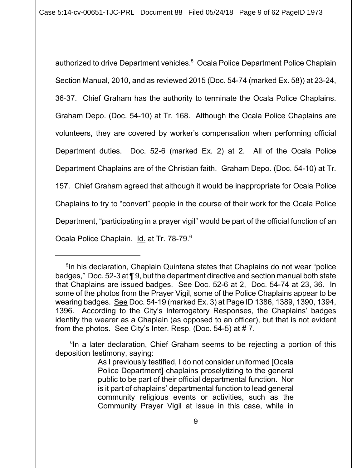Case 5:14-cv-00651-TJC-PRL Document 88 Filed 05/24/18 Page 9 of 62 PageID 1973

authorized to drive Department vehicles.<sup>5</sup> Ocala Police Department Police Chaplain Section Manual, 2010, and as reviewed 2015 (Doc. 54-74 (marked Ex. 58)) at 23-24, 36-37. Chief Graham has the authority to terminate the Ocala Police Chaplains. Graham Depo. (Doc. 54-10) at Tr. 168. Although the Ocala Police Chaplains are volunteers, they are covered by worker's compensation when performing official Department duties. Doc. 52-6 (marked Ex. 2) at 2. All of the Ocala Police Department Chaplains are of the Christian faith. Graham Depo. (Doc. 54-10) at Tr. 157. Chief Graham agreed that although it would be inappropriate for Ocala Police Chaplains to try to "convert" people in the course of their work for the Ocala Police Department, "participating in a prayer vigil" would be part of the official function of an Ocala Police Chaplain. Id. at Tr. 78-79.<sup>6</sup>

<sup>5</sup> In his declaration, Chaplain Quintana states that Chaplains do not wear "police badges," Doc. 52-3 at ¶ 9, but the department directive and section manual both state that Chaplains are issued badges. See Doc. 52-6 at 2, Doc. 54-74 at 23, 36. In some of the photos from the Prayer Vigil, some of the Police Chaplains appear to be wearing badges. See Doc. 54-19 (marked Ex. 3) at Page ID 1386, 1389, 1390, 1394, 1396. According to the City's Interrogatory Responses, the Chaplains' badges identify the wearer as a Chaplain (as opposed to an officer), but that is not evident from the photos. See City's Inter. Resp. (Doc. 54-5) at # 7.

<sup>&</sup>lt;sup>6</sup>In a later declaration, Chief Graham seems to be rejecting a portion of this deposition testimony, saying:

As I previously testified, I do not consider uniformed [Ocala Police Department] chaplains proselytizing to the general public to be part of their official departmental function. Nor is it part of chaplains' departmental function to lead general community religious events or activities, such as the Community Prayer Vigil at issue in this case, while in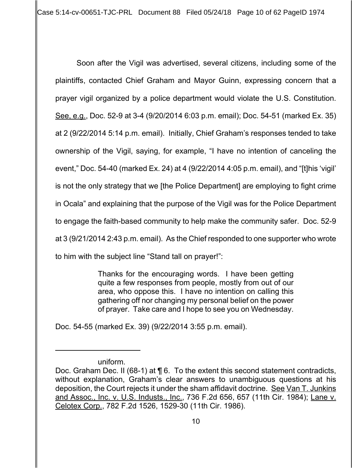Case 5:14-cv-00651-TJC-PRL Document 88 Filed 05/24/18 Page 10 of 62 PageID 1974

Soon after the Vigil was advertised, several citizens, including some of the plaintiffs, contacted Chief Graham and Mayor Guinn, expressing concern that a prayer vigil organized by a police department would violate the U.S. Constitution. See, e.g., Doc. 52-9 at 3-4 (9/20/2014 6:03 p.m. email); Doc. 54-51 (marked Ex. 35) at 2 (9/22/2014 5:14 p.m. email). Initially, Chief Graham's responses tended to take ownership of the Vigil, saying, for example, "I have no intention of canceling the event," Doc. 54-40 (marked Ex. 24) at 4 (9/22/2014 4:05 p.m. email), and "[t]his 'vigil' is not the only strategy that we [the Police Department] are employing to fight crime in Ocala" and explaining that the purpose of the Vigil was for the Police Department to engage the faith-based community to help make the community safer. Doc. 52-9 at 3 (9/21/2014 2:43 p.m. email). As the Chief responded to one supporter who wrote to him with the subject line "Stand tall on prayer!":

> Thanks for the encouraging words. I have been getting quite a few responses from people, mostly from out of our area, who oppose this. I have no intention on calling this gathering off nor changing my personal belief on the power of prayer. Take care and I hope to see you on Wednesday.

Doc. 54-55 (marked Ex. 39) (9/22/2014 3:55 p.m. email).

uniform.

Doc. Graham Dec. II (68-1) at ¶ 6. To the extent this second statement contradicts, without explanation, Graham's clear answers to unambiguous questions at his deposition, the Court rejects it under the sham affidavit doctrine. See Van T. Junkins and Assoc., Inc. v. U.S. Industs., Inc., 736 F.2d 656, 657 (11th Cir. 1984); Lane v. Celotex Corp., 782 F.2d 1526, 1529-30 (11th Cir. 1986).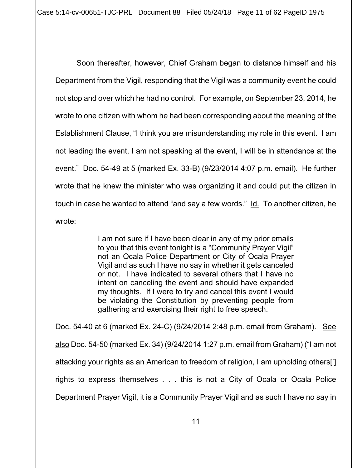Case 5:14-cv-00651-TJC-PRL Document 88 Filed 05/24/18 Page 11 of 62 PageID 1975

Soon thereafter, however, Chief Graham began to distance himself and his Department from the Vigil, responding that the Vigil was a community event he could not stop and over which he had no control. For example, on September 23, 2014, he wrote to one citizen with whom he had been corresponding about the meaning of the Establishment Clause, "I think you are misunderstanding my role in this event. I am not leading the event, I am not speaking at the event, I will be in attendance at the event." Doc. 54-49 at 5 (marked Ex. 33-B) (9/23/2014 4:07 p.m. email). He further wrote that he knew the minister who was organizing it and could put the citizen in touch in case he wanted to attend "and say a few words." Id. To another citizen, he wrote:

> I am not sure if I have been clear in any of my prior emails to you that this event tonight is a "Community Prayer Vigil" not an Ocala Police Department or City of Ocala Prayer Vigil and as such I have no say in whether it gets canceled or not. I have indicated to several others that I have no intent on canceling the event and should have expanded my thoughts. If I were to try and cancel this event I would be violating the Constitution by preventing people from gathering and exercising their right to free speech.

Doc. 54-40 at 6 (marked Ex. 24-C) (9/24/2014 2:48 p.m. email from Graham). See also Doc. 54-50 (marked Ex. 34) (9/24/2014 1:27 p.m. email from Graham) ("I am not attacking your rights as an American to freedom of religion, I am upholding others['] rights to express themselves . . . this is not a City of Ocala or Ocala Police Department Prayer Vigil, it is a Community Prayer Vigil and as such I have no say in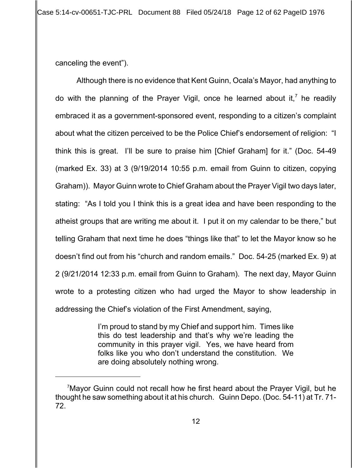canceling the event").

Although there is no evidence that Kent Guinn, Ocala's Mayor, had anything to do with the planning of the Prayer Vigil, once he learned about it,<sup>7</sup> he readily embraced it as a government-sponsored event, responding to a citizen's complaint about what the citizen perceived to be the Police Chief's endorsement of religion: "I think this is great. I'll be sure to praise him [Chief Graham] for it." (Doc. 54-49 (marked Ex. 33) at 3 (9/19/2014 10:55 p.m. email from Guinn to citizen, copying Graham)). Mayor Guinn wrote to Chief Graham about the Prayer Vigil two days later, stating: "As I told you I think this is a great idea and have been responding to the atheist groups that are writing me about it. I put it on my calendar to be there," but telling Graham that next time he does "things like that" to let the Mayor know so he doesn't find out from his "church and random emails." Doc. 54-25 (marked Ex. 9) at 2 (9/21/2014 12:33 p.m. email from Guinn to Graham). The next day, Mayor Guinn wrote to a protesting citizen who had urged the Mayor to show leadership in addressing the Chief's violation of the First Amendment, saying,

> I'm proud to stand by my Chief and support him. Times like this do test leadership and that's why we're leading the community in this prayer vigil. Yes, we have heard from folks like you who don't understand the constitution. We are doing absolutely nothing wrong.

<sup>&</sup>lt;sup>7</sup>Mayor Guinn could not recall how he first heard about the Prayer Vigil, but he thought he saw something about it at his church. Guinn Depo. (Doc. 54-11) at Tr. 71- 72.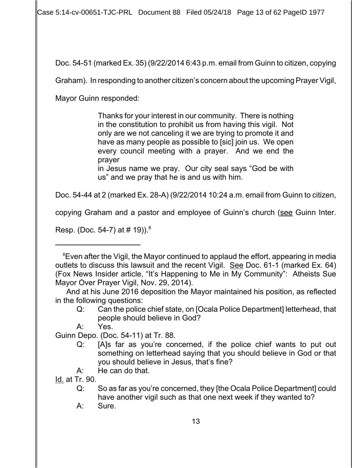Case 5:14-cv-00651-TJC-PRL Document 88 Filed 05/24/18 Page 13 of 62 PageID 1977

Doc. 54-51 (marked Ex. 35) (9/22/2014 6:43 p.m. email from Guinn to citizen, copying

Graham). In responding to another citizen's concern about the upcoming Prayer Vigil,

Mayor Guinn responded:

Thanks for your interest in our community. There is nothing in the constitution to prohibit us from having this vigil. Not only are we not canceling it we are trying to promote it and have as many people as possible to [sic] join us. We open every council meeting with a prayer. And we end the prayer

in Jesus name we pray. Our city seal says "God be with us" and we pray that he is and us with him.

Doc. 54-44 at 2 (marked Ex. 28-A) (9/22/2014 10:24 a.m. email from Guinn to citizen,

copying Graham and a pastor and employee of Guinn's church (see Guinn Inter.

Resp. (Doc. 54-7) at  $# 19$ )).<sup>8</sup>

Id. at Tr. 90.

<sup>&</sup>lt;sup>8</sup> Even after the Vigil, the Mayor continued to applaud the effort, appearing in media outlets to discuss this lawsuit and the recent Vigil. See Doc. 61-1 (marked Ex. 64) (Fox News Insider article, "It's Happening to Me in My Community": Atheists Sue Mayor Over Prayer Vigil, Nov. 29, 2014).

And at his June 2016 deposition the Mayor maintained his position, as reflected in the following questions:

Q: Can the police chief state, on [Ocala Police Department] letterhead, that people should believe in God?

A: Yes.

Guinn Depo. (Doc. 54-11) at Tr. 88.

Q: [A]s far as you're concerned, if the police chief wants to put out something on letterhead saying that you should believe in God or that you should believe in Jesus, that's fine?

A: He can do that.

Q: So as far as you're concerned, they [the Ocala Police Department] could have another vigil such as that one next week if they wanted to?

A: Sure.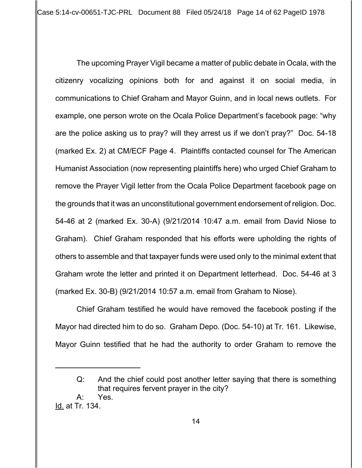Case 5:14-cv-00651-TJC-PRL Document 88 Filed 05/24/18 Page 14 of 62 PageID 1978

The upcoming Prayer Vigil became a matter of public debate in Ocala, with the citizenry vocalizing opinions both for and against it on social media, in communications to Chief Graham and Mayor Guinn, and in local news outlets. For example, one person wrote on the Ocala Police Department's facebook page: "why are the police asking us to pray? will they arrest us if we don't pray?" Doc. 54-18 (marked Ex. 2) at CM/ECF Page 4. Plaintiffs contacted counsel for The American Humanist Association (now representing plaintiffs here) who urged Chief Graham to remove the Prayer Vigil letter from the Ocala Police Department facebook page on the grounds that it was an unconstitutional government endorsement of religion. Doc. 54-46 at 2 (marked Ex. 30-A) (9/21/2014 10:47 a.m. email from David Niose to Graham). Chief Graham responded that his efforts were upholding the rights of others to assemble and that taxpayer funds were used only to the minimal extent that Graham wrote the letter and printed it on Department letterhead. Doc. 54-46 at 3 (marked Ex. 30-B) (9/21/2014 10:57 a.m. email from Graham to Niose).

Chief Graham testified he would have removed the facebook posting if the Mayor had directed him to do so. Graham Depo. (Doc. 54-10) at Tr. 161. Likewise, Mayor Guinn testified that he had the authority to order Graham to remove the

Q: And the chief could post another letter saying that there is something that requires fervent prayer in the city? A: Yes.

Id. at Tr. 134.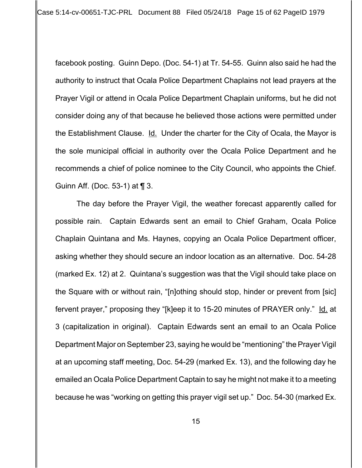facebook posting. Guinn Depo. (Doc. 54-1) at Tr. 54-55. Guinn also said he had the authority to instruct that Ocala Police Department Chaplains not lead prayers at the Prayer Vigil or attend in Ocala Police Department Chaplain uniforms, but he did not consider doing any of that because he believed those actions were permitted under the Establishment Clause. Id. Under the charter for the City of Ocala, the Mayor is the sole municipal official in authority over the Ocala Police Department and he recommends a chief of police nominee to the City Council, who appoints the Chief. Guinn Aff. (Doc. 53-1) at ¶ 3.

The day before the Prayer Vigil, the weather forecast apparently called for possible rain. Captain Edwards sent an email to Chief Graham, Ocala Police Chaplain Quintana and Ms. Haynes, copying an Ocala Police Department officer, asking whether they should secure an indoor location as an alternative. Doc. 54-28 (marked Ex. 12) at 2. Quintana's suggestion was that the Vigil should take place on the Square with or without rain, "[n]othing should stop, hinder or prevent from [sic] fervent prayer," proposing they "[k]eep it to 15-20 minutes of PRAYER only." Id. at 3 (capitalization in original). Captain Edwards sent an email to an Ocala Police Department Major on September 23, saying he would be "mentioning" the Prayer Vigil at an upcoming staff meeting, Doc. 54-29 (marked Ex. 13), and the following day he emailed an Ocala Police Department Captain to say he might not make it to a meeting because he was "working on getting this prayer vigil set up." Doc. 54-30 (marked Ex.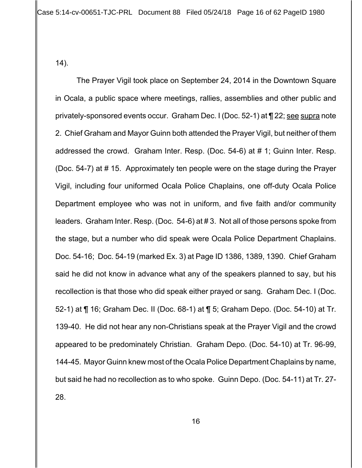14).

The Prayer Vigil took place on September 24, 2014 in the Downtown Square in Ocala, a public space where meetings, rallies, assemblies and other public and privately-sponsored events occur. Graham Dec. I (Doc. 52-1) at ¶ 22; see supra note 2. Chief Graham and Mayor Guinn both attended the Prayer Vigil, but neither of them addressed the crowd. Graham Inter. Resp. (Doc. 54-6) at # 1; Guinn Inter. Resp. (Doc. 54-7) at # 15. Approximately ten people were on the stage during the Prayer Vigil, including four uniformed Ocala Police Chaplains, one off-duty Ocala Police Department employee who was not in uniform, and five faith and/or community leaders. Graham Inter. Resp. (Doc. 54-6) at # 3. Not all of those persons spoke from the stage, but a number who did speak were Ocala Police Department Chaplains. Doc. 54-16; Doc. 54-19 (marked Ex. 3) at Page ID 1386, 1389, 1390. Chief Graham said he did not know in advance what any of the speakers planned to say, but his recollection is that those who did speak either prayed or sang. Graham Dec. I (Doc. 52-1) at ¶ 16; Graham Dec. II (Doc. 68-1) at ¶ 5; Graham Depo. (Doc. 54-10) at Tr. 139-40. He did not hear any non-Christians speak at the Prayer Vigil and the crowd appeared to be predominately Christian. Graham Depo. (Doc. 54-10) at Tr. 96-99, 144-45. Mayor Guinn knew most of the Ocala Police Department Chaplains by name, but said he had no recollection as to who spoke. Guinn Depo. (Doc. 54-11) at Tr. 27- 28.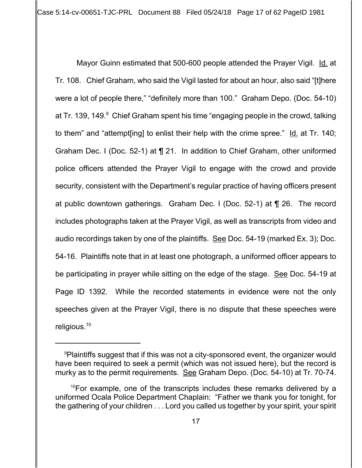Case 5:14-cv-00651-TJC-PRL Document 88 Filed 05/24/18 Page 17 of 62 PageID 1981

Mayor Guinn estimated that 500-600 people attended the Prayer Vigil. Id. at Tr. 108. Chief Graham, who said the Vigil lasted for about an hour, also said "[t]here were a lot of people there," "definitely more than 100." Graham Depo. (Doc. 54-10) at Tr. 139, 149. $^{\circ}$  Chief Graham spent his time "engaging people in the crowd, talking to them" and "attempt[ing] to enlist their help with the crime spree." Id. at Tr. 140; Graham Dec. I (Doc. 52-1) at ¶ 21. In addition to Chief Graham, other uniformed police officers attended the Prayer Vigil to engage with the crowd and provide security, consistent with the Department's regular practice of having officers present at public downtown gatherings. Graham Dec. I (Doc. 52-1) at ¶ 26. The record includes photographs taken at the Prayer Vigil, as well as transcripts from video and audio recordings taken by one of the plaintiffs. See Doc. 54-19 (marked Ex. 3); Doc. 54-16. Plaintiffs note that in at least one photograph, a uniformed officer appears to be participating in prayer while sitting on the edge of the stage. See Doc. 54-19 at Page ID 1392. While the recorded statements in evidence were not the only speeches given at the Prayer Vigil, there is no dispute that these speeches were religious.<sup>10</sup>

<sup>&</sup>lt;sup>9</sup>Plaintiffs suggest that if this was not a city-sponsored event, the organizer would have been required to seek a permit (which was not issued here), but the record is murky as to the permit requirements. See Graham Depo. (Doc. 54-10) at Tr. 70-74.

 $10$ For example, one of the transcripts includes these remarks delivered by a uniformed Ocala Police Department Chaplain: "Father we thank you for tonight, for the gathering of your children . . . Lord you called us together by your spirit, your spirit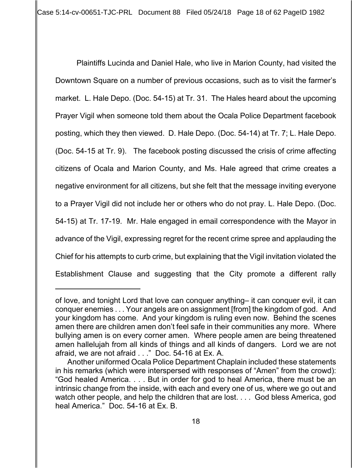Plaintiffs Lucinda and Daniel Hale, who live in Marion County, had visited the Downtown Square on a number of previous occasions, such as to visit the farmer's market. L. Hale Depo. (Doc. 54-15) at Tr. 31. The Hales heard about the upcoming Prayer Vigil when someone told them about the Ocala Police Department facebook posting, which they then viewed. D. Hale Depo. (Doc. 54-14) at Tr. 7; L. Hale Depo. (Doc. 54-15 at Tr. 9). The facebook posting discussed the crisis of crime affecting citizens of Ocala and Marion County, and Ms. Hale agreed that crime creates a negative environment for all citizens, but she felt that the message inviting everyone to a Prayer Vigil did not include her or others who do not pray. L. Hale Depo. (Doc. 54-15) at Tr. 17-19. Mr. Hale engaged in email correspondence with the Mayor in advance of the Vigil, expressing regret for the recent crime spree and applauding the Chief for his attempts to curb crime, but explaining that the Vigil invitation violated the Establishment Clause and suggesting that the City promote a different rally

of love, and tonight Lord that love can conquer anything– it can conquer evil, it can conquer enemies . . . Your angels are on assignment [from] the kingdom of god. And your kingdom has come. And your kingdom is ruling even now. Behind the scenes amen there are children amen don't feel safe in their communities any more. Where bullying amen is on every corner amen. Where people amen are being threatened amen hallelujah from all kinds of things and all kinds of dangers. Lord we are not afraid, we are not afraid . . ." Doc. 54-16 at Ex. A.

Another uniformed Ocala Police Department Chaplain included these statements in his remarks (which were interspersed with responses of "Amen" from the crowd): "God healed America. . . . But in order for god to heal America, there must be an intrinsic change from the inside, with each and every one of us, where we go out and watch other people, and help the children that are lost. . . . God bless America, god heal America." Doc. 54-16 at Ex. B.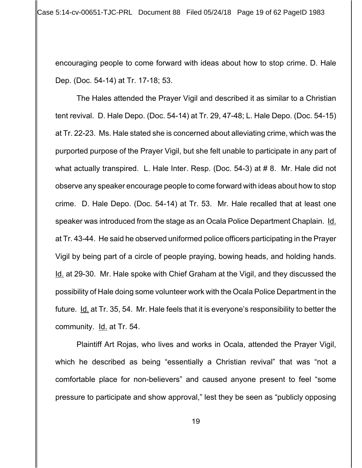encouraging people to come forward with ideas about how to stop crime. D. Hale Dep. (Doc. 54-14) at Tr. 17-18; 53.

The Hales attended the Prayer Vigil and described it as similar to a Christian tent revival. D. Hale Depo. (Doc. 54-14) at Tr. 29, 47-48; L. Hale Depo. (Doc. 54-15) at Tr. 22-23. Ms. Hale stated she is concerned about alleviating crime, which was the purported purpose of the Prayer Vigil, but she felt unable to participate in any part of what actually transpired. L. Hale Inter. Resp. (Doc. 54-3) at # 8. Mr. Hale did not observe any speaker encourage people to come forward with ideas about how to stop crime. D. Hale Depo. (Doc. 54-14) at Tr. 53. Mr. Hale recalled that at least one speaker was introduced from the stage as an Ocala Police Department Chaplain. Id. at Tr. 43-44. He said he observed uniformed police officers participating in the Prayer Vigil by being part of a circle of people praying, bowing heads, and holding hands. Id. at 29-30. Mr. Hale spoke with Chief Graham at the Vigil, and they discussed the possibility of Hale doing some volunteer work with the Ocala Police Department in the future. Id. at Tr. 35, 54. Mr. Hale feels that it is everyone's responsibility to better the community. **Id.** at Tr. 54.

Plaintiff Art Rojas, who lives and works in Ocala, attended the Prayer Vigil, which he described as being "essentially a Christian revival" that was "not a comfortable place for non-believers" and caused anyone present to feel "some pressure to participate and show approval," lest they be seen as "publicly opposing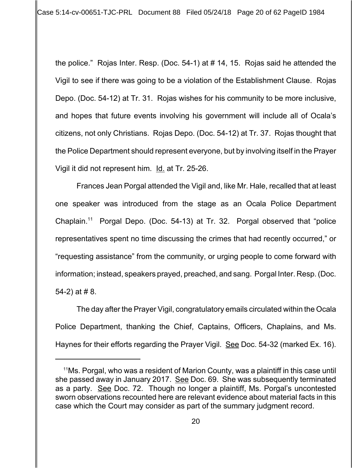Case 5:14-cv-00651-TJC-PRL Document 88 Filed 05/24/18 Page 20 of 62 PageID 1984

the police." Rojas Inter. Resp. (Doc. 54-1) at # 14, 15. Rojas said he attended the Vigil to see if there was going to be a violation of the Establishment Clause. Rojas Depo. (Doc. 54-12) at Tr. 31. Rojas wishes for his community to be more inclusive, and hopes that future events involving his government will include all of Ocala's citizens, not only Christians. Rojas Depo. (Doc. 54-12) at Tr. 37. Rojas thought that the Police Department should represent everyone, but by involving itself in the Prayer Vigil it did not represent him. Id. at Tr. 25-26.

Frances Jean Porgal attended the Vigil and, like Mr. Hale, recalled that at least one speaker was introduced from the stage as an Ocala Police Department Chaplain.11 Porgal Depo. (Doc. 54-13) at Tr. 32. Porgal observed that "police representatives spent no time discussing the crimes that had recently occurred," or "requesting assistance" from the community, or urging people to come forward with information; instead, speakers prayed, preached, and sang. Porgal Inter. Resp. (Doc. 54-2) at # 8.

The day after the Prayer Vigil, congratulatory emails circulated within the Ocala Police Department, thanking the Chief, Captains, Officers, Chaplains, and Ms. Haynes for their efforts regarding the Prayer Vigil. See Doc. 54-32 (marked Ex. 16).

 $11$ Ms. Porgal, who was a resident of Marion County, was a plaintiff in this case until she passed away in January 2017. See Doc. 69. She was subsequently terminated as a party. See Doc. 72. Though no longer a plaintiff, Ms. Porgal's uncontested sworn observations recounted here are relevant evidence about material facts in this case which the Court may consider as part of the summary judgment record.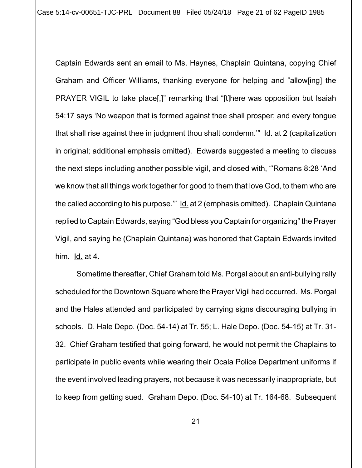Case 5:14-cv-00651-TJC-PRL Document 88 Filed 05/24/18 Page 21 of 62 PageID 1985

Captain Edwards sent an email to Ms. Haynes, Chaplain Quintana, copying Chief Graham and Officer Williams, thanking everyone for helping and "allow[ing] the PRAYER VIGIL to take place[,]" remarking that "[t]here was opposition but Isaiah 54:17 says 'No weapon that is formed against thee shall prosper; and every tongue that shall rise against thee in judgment thou shalt condemn.'" Id. at 2 (capitalization in original; additional emphasis omitted). Edwards suggested a meeting to discuss the next steps including another possible vigil, and closed with, "'Romans 8:28 'And we know that all things work together for good to them that love God, to them who are the called according to his purpose." Id. at 2 (emphasis omitted). Chaplain Quintana replied to Captain Edwards, saying "God bless you Captain for organizing" the Prayer Vigil, and saying he (Chaplain Quintana) was honored that Captain Edwards invited him. Id. at 4.

Sometime thereafter, Chief Graham told Ms. Porgal about an anti-bullying rally scheduled for the Downtown Square where the Prayer Vigil had occurred. Ms. Porgal and the Hales attended and participated by carrying signs discouraging bullying in schools. D. Hale Depo. (Doc. 54-14) at Tr. 55; L. Hale Depo. (Doc. 54-15) at Tr. 31- 32. Chief Graham testified that going forward, he would not permit the Chaplains to participate in public events while wearing their Ocala Police Department uniforms if the event involved leading prayers, not because it was necessarily inappropriate, but to keep from getting sued. Graham Depo. (Doc. 54-10) at Tr. 164-68. Subsequent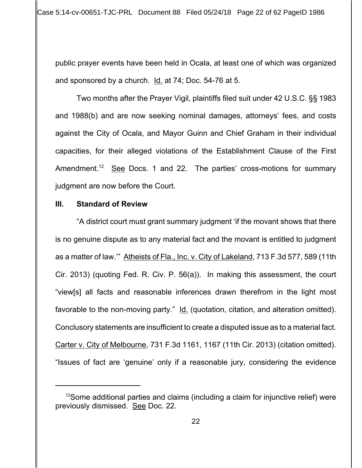public prayer events have been held in Ocala, at least one of which was organized and sponsored by a church. Id. at 74; Doc. 54-76 at 5.

Two months after the Prayer Vigil, plaintiffs filed suit under 42 U.S.C. §§ 1983 and 1988(b) and are now seeking nominal damages, attorneys' fees, and costs against the City of Ocala, and Mayor Guinn and Chief Graham in their individual capacities, for their alleged violations of the Establishment Clause of the First Amendment.<sup>12</sup> See Docs. 1 and 22. The parties' cross-motions for summary judgment are now before the Court.

## **III. Standard of Review**

"A district court must grant summary judgment 'if the movant shows that there is no genuine dispute as to any material fact and the movant is entitled to judgment as a matter of law.'" Atheists of Fla., Inc. v. City of Lakeland, 713 F.3d 577, 589 (11th Cir. 2013) (quoting Fed. R. Civ. P. 56(a)). In making this assessment, the court "view[s] all facts and reasonable inferences drawn therefrom in the light most favorable to the non-moving party." Id. (quotation, citation, and alteration omitted). Conclusory statements are insufficient to create a disputed issue as to a material fact. Carter v. City of Melbourne, 731 F.3d 1161, 1167 (11th Cir. 2013) (citation omitted). "Issues of fact are 'genuine' only if a reasonable jury, considering the evidence

 $12$ Some additional parties and claims (including a claim for injunctive relief) were previously dismissed. See Doc. 22.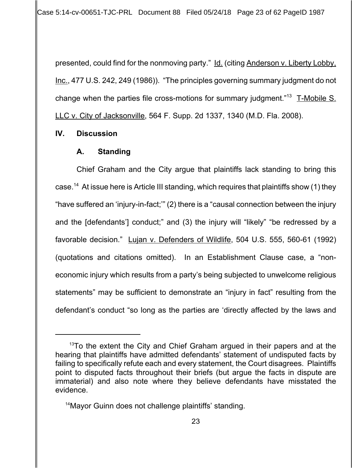Case 5:14-cv-00651-TJC-PRL Document 88 Filed 05/24/18 Page 23 of 62 PageID 1987

presented, could find for the nonmoving party." Id. (citing Anderson v. Liberty Lobby, Inc., 477 U.S. 242, 249 (1986)). "The principles governing summary judgment do not change when the parties file cross-motions for summary judgment."<sup>13</sup> T-Mobile S. LLC v. City of Jacksonville, 564 F. Supp. 2d 1337, 1340 (M.D. Fla. 2008).

#### **IV. Discussion**

#### **A. Standing**

Chief Graham and the City argue that plaintiffs lack standing to bring this case.<sup>14</sup> At issue here is Article III standing, which requires that plaintiffs show (1) they "have suffered an 'injury-in-fact;'" (2) there is a "causal connection between the injury and the [defendants'] conduct;" and (3) the injury will "likely" "be redressed by a favorable decision." Lujan v. Defenders of Wildlife, 504 U.S. 555, 560-61 (1992) (quotations and citations omitted). In an Establishment Clause case, a "noneconomic injury which results from a party's being subjected to unwelcome religious statements" may be sufficient to demonstrate an "injury in fact" resulting from the defendant's conduct "so long as the parties are 'directly affected by the laws and

 $13$ To the extent the City and Chief Graham argued in their papers and at the hearing that plaintiffs have admitted defendants' statement of undisputed facts by failing to specifically refute each and every statement, the Court disagrees. Plaintiffs point to disputed facts throughout their briefs (but argue the facts in dispute are immaterial) and also note where they believe defendants have misstated the evidence.

<sup>&</sup>lt;sup>14</sup>Mayor Guinn does not challenge plaintiffs' standing.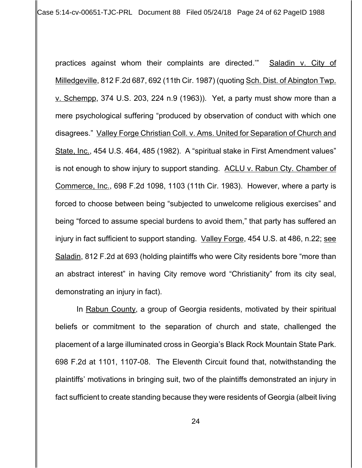Case 5:14-cv-00651-TJC-PRL Document 88 Filed 05/24/18 Page 24 of 62 PageID 1988

practices against whom their complaints are directed.'" Saladin v. City of Milledgeville, 812 F.2d 687, 692 (11th Cir. 1987) (quoting Sch. Dist. of Abington Twp. v. Schempp, 374 U.S. 203, 224 n.9 (1963)). Yet, a party must show more than a mere psychological suffering "produced by observation of conduct with which one disagrees." Valley Forge Christian Coll. v. Ams. United for Separation of Church and State, Inc., 454 U.S. 464, 485 (1982). A "spiritual stake in First Amendment values" is not enough to show injury to support standing. ACLU v. Rabun Cty. Chamber of Commerce, Inc., 698 F.2d 1098, 1103 (11th Cir. 1983). However, where a party is forced to choose between being "subjected to unwelcome religious exercises" and being "forced to assume special burdens to avoid them," that party has suffered an injury in fact sufficient to support standing. Valley Forge, 454 U.S. at 486, n.22; see Saladin, 812 F.2d at 693 (holding plaintiffs who were City residents bore "more than an abstract interest" in having City remove word "Christianity" from its city seal, demonstrating an injury in fact).

In Rabun County, a group of Georgia residents, motivated by their spiritual beliefs or commitment to the separation of church and state, challenged the placement of a large illuminated cross in Georgia's Black Rock Mountain State Park. 698 F.2d at 1101, 1107-08. The Eleventh Circuit found that, notwithstanding the plaintiffs' motivations in bringing suit, two of the plaintiffs demonstrated an injury in fact sufficient to create standing because they were residents of Georgia (albeit living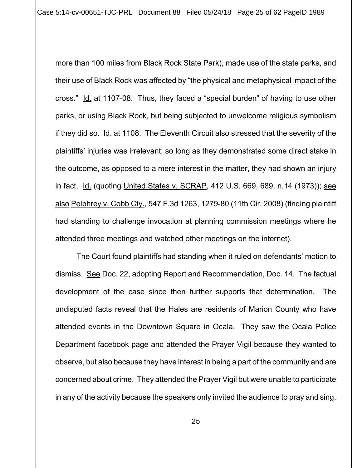more than 100 miles from Black Rock State Park), made use of the state parks, and their use of Black Rock was affected by "the physical and metaphysical impact of the cross." Id. at 1107-08. Thus, they faced a "special burden" of having to use other parks, or using Black Rock, but being subjected to unwelcome religious symbolism if they did so. Id. at 1108. The Eleventh Circuit also stressed that the severity of the plaintiffs' injuries was irrelevant; so long as they demonstrated some direct stake in the outcome, as opposed to a mere interest in the matter, they had shown an injury in fact. Id. (quoting United States v. SCRAP, 412 U.S. 669, 689, n.14 (1973)); see also Pelphrey v. Cobb Cty., 547 F.3d 1263, 1279-80 (11th Cir. 2008) (finding plaintiff had standing to challenge invocation at planning commission meetings where he attended three meetings and watched other meetings on the internet).

The Court found plaintiffs had standing when it ruled on defendants' motion to dismiss. See Doc. 22, adopting Report and Recommendation, Doc. 14. The factual development of the case since then further supports that determination. The undisputed facts reveal that the Hales are residents of Marion County who have attended events in the Downtown Square in Ocala. They saw the Ocala Police Department facebook page and attended the Prayer Vigil because they wanted to observe, but also because they have interest in being a part of the community and are concerned about crime. They attended the Prayer Vigil but were unable to participate in any of the activity because the speakers only invited the audience to pray and sing.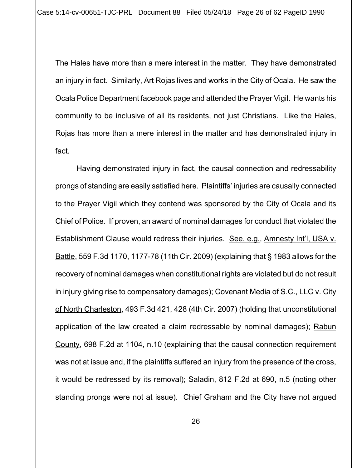The Hales have more than a mere interest in the matter. They have demonstrated an injury in fact. Similarly, Art Rojas lives and works in the City of Ocala. He saw the Ocala Police Department facebook page and attended the Prayer Vigil. He wants his community to be inclusive of all its residents, not just Christians. Like the Hales, Rojas has more than a mere interest in the matter and has demonstrated injury in fact.

Having demonstrated injury in fact, the causal connection and redressability prongs of standing are easily satisfied here. Plaintiffs' injuries are causally connected to the Prayer Vigil which they contend was sponsored by the City of Ocala and its Chief of Police. If proven, an award of nominal damages for conduct that violated the Establishment Clause would redress their injuries. See, e.g., Amnesty Int'l, USA v. Battle, 559 F.3d 1170, 1177-78 (11th Cir. 2009) (explaining that § 1983 allows for the recovery of nominal damages when constitutional rights are violated but do not result in injury giving rise to compensatory damages); Covenant Media of S.C., LLC v. City of North Charleston, 493 F.3d 421, 428 (4th Cir. 2007) (holding that unconstitutional application of the law created a claim redressable by nominal damages); Rabun County, 698 F.2d at 1104, n.10 (explaining that the causal connection requirement was not at issue and, if the plaintiffs suffered an injury from the presence of the cross, it would be redressed by its removal); Saladin, 812 F.2d at 690, n.5 (noting other standing prongs were not at issue). Chief Graham and the City have not argued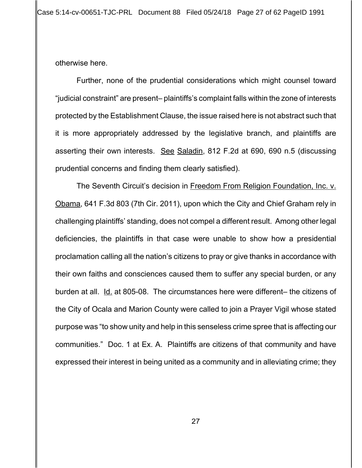otherwise here.

Further, none of the prudential considerations which might counsel toward "judicial constraint" are present– plaintiffs's complaint falls within the zone of interests protected by the Establishment Clause, the issue raised here is not abstract such that it is more appropriately addressed by the legislative branch, and plaintiffs are asserting their own interests. See Saladin, 812 F.2d at 690, 690 n.5 (discussing prudential concerns and finding them clearly satisfied).

The Seventh Circuit's decision in Freedom From Religion Foundation, Inc. v. Obama, 641 F.3d 803 (7th Cir. 2011), upon which the City and Chief Graham rely in challenging plaintiffs' standing, does not compel a different result. Among other legal deficiencies, the plaintiffs in that case were unable to show how a presidential proclamation calling all the nation's citizens to pray or give thanks in accordance with their own faiths and consciences caused them to suffer any special burden, or any burden at all. Id. at 805-08. The circumstances here were different- the citizens of the City of Ocala and Marion County were called to join a Prayer Vigil whose stated purpose was "to show unity and help in this senseless crime spree that is affecting our communities." Doc. 1 at Ex. A. Plaintiffs are citizens of that community and have expressed their interest in being united as a community and in alleviating crime; they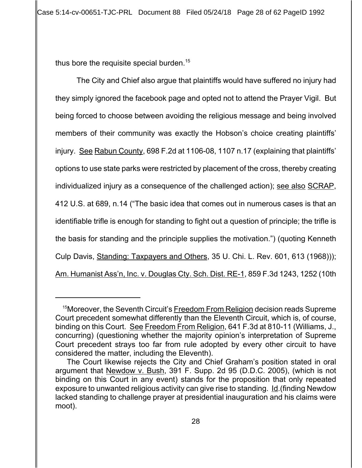thus bore the requisite special burden.<sup>15</sup>

The City and Chief also argue that plaintiffs would have suffered no injury had they simply ignored the facebook page and opted not to attend the Prayer Vigil. But being forced to choose between avoiding the religious message and being involved members of their community was exactly the Hobson's choice creating plaintiffs' injury. See Rabun County, 698 F.2d at 1106-08, 1107 n.17 (explaining that plaintiffs' options to use state parks were restricted by placement of the cross, thereby creating individualized injury as a consequence of the challenged action); see also SCRAP, 412 U.S. at 689, n.14 ("The basic idea that comes out in numerous cases is that an identifiable trifle is enough for standing to fight out a question of principle; the trifle is the basis for standing and the principle supplies the motivation.") (quoting Kenneth Culp Davis, Standing: Taxpayers and Others, 35 U. Chi. L. Rev. 601, 613 (1968))); Am. Humanist Ass'n, Inc. v. Douglas Cty. Sch. Dist. RE-1, 859 F.3d 1243, 1252 (10th

15Moreover, the Seventh Circuit's Freedom From Religion decision reads Supreme Court precedent somewhat differently than the Eleventh Circuit, which is, of course, binding on this Court. See Freedom From Religion, 641 F.3d at 810-11 (Williams, J., concurring) (questioning whether the majority opinion's interpretation of Supreme Court precedent strays too far from rule adopted by every other circuit to have considered the matter, including the Eleventh).

The Court likewise rejects the City and Chief Graham's position stated in oral argument that Newdow v. Bush, 391 F. Supp. 2d 95 (D.D.C. 2005), (which is not binding on this Court in any event) stands for the proposition that only repeated exposure to unwanted religious activity can give rise to standing. Id.(finding Newdow lacked standing to challenge prayer at presidential inauguration and his claims were moot).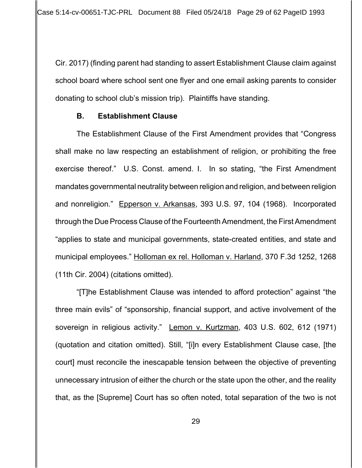Cir. 2017) (finding parent had standing to assert Establishment Clause claim against school board where school sent one flyer and one email asking parents to consider donating to school club's mission trip). Plaintiffs have standing.

#### **B. Establishment Clause**

The Establishment Clause of the First Amendment provides that "Congress shall make no law respecting an establishment of religion, or prohibiting the free exercise thereof." U.S. Const. amend. I. In so stating, "the First Amendment mandates governmental neutrality between religion and religion, and between religion and nonreligion." Epperson v. Arkansas, 393 U.S. 97, 104 (1968). Incorporated through the Due Process Clause of the Fourteenth Amendment, the First Amendment "applies to state and municipal governments, state-created entities, and state and municipal employees." Holloman ex rel. Holloman v. Harland, 370 F.3d 1252, 1268 (11th Cir. 2004) (citations omitted).

"[T]he Establishment Clause was intended to afford protection" against "the three main evils" of "sponsorship, financial support, and active involvement of the sovereign in religious activity." Lemon v. Kurtzman, 403 U.S. 602, 612 (1971) (quotation and citation omitted). Still, "[i]n every Establishment Clause case, [the court] must reconcile the inescapable tension between the objective of preventing unnecessary intrusion of either the church or the state upon the other, and the reality that, as the [Supreme] Court has so often noted, total separation of the two is not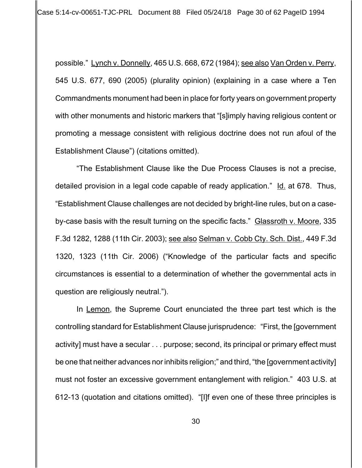Case 5:14-cv-00651-TJC-PRL Document 88 Filed 05/24/18 Page 30 of 62 PageID 1994

possible." Lynch v. Donnelly, 465 U.S. 668, 672 (1984); see also Van Orden v. Perry, 545 U.S. 677, 690 (2005) (plurality opinion) (explaining in a case where a Ten Commandments monument had been in place for forty years on government property with other monuments and historic markers that "[s]imply having religious content or promoting a message consistent with religious doctrine does not run afoul of the Establishment Clause") (citations omitted).

"The Establishment Clause like the Due Process Clauses is not a precise, detailed provision in a legal code capable of ready application." Id. at 678. Thus, "Establishment Clause challenges are not decided by bright-line rules, but on a caseby-case basis with the result turning on the specific facts." Glassroth v. Moore, 335 F.3d 1282, 1288 (11th Cir. 2003); see also Selman v. Cobb Cty. Sch. Dist., 449 F.3d 1320, 1323 (11th Cir. 2006) ("Knowledge of the particular facts and specific circumstances is essential to a determination of whether the governmental acts in question are religiously neutral.").

In Lemon, the Supreme Court enunciated the three part test which is the controlling standard for Establishment Clause jurisprudence: "First, the [government activity] must have a secular . . . purpose; second, its principal or primary effect must be one that neither advances nor inhibits religion;" and third, "the [government activity] must not foster an excessive government entanglement with religion." 403 U.S. at 612-13 (quotation and citations omitted). "[I]f even one of these three principles is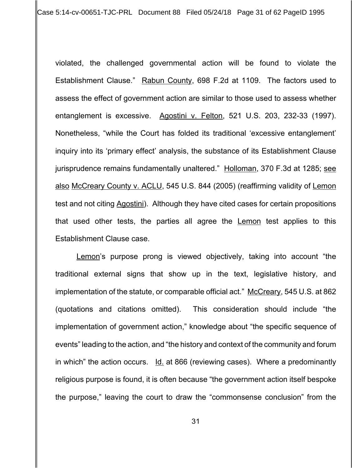Case 5:14-cv-00651-TJC-PRL Document 88 Filed 05/24/18 Page 31 of 62 PageID 1995

violated, the challenged governmental action will be found to violate the Establishment Clause." Rabun County, 698 F.2d at 1109. The factors used to assess the effect of government action are similar to those used to assess whether entanglement is excessive. Agostini v. Felton, 521 U.S. 203, 232-33 (1997). Nonetheless, "while the Court has folded its traditional 'excessive entanglement' inquiry into its 'primary effect' analysis, the substance of its Establishment Clause jurisprudence remains fundamentally unaltered." Holloman, 370 F.3d at 1285; see also McCreary County v. ACLU, 545 U.S. 844 (2005) (reaffirming validity of Lemon test and not citing Agostini). Although they have cited cases for certain propositions that used other tests, the parties all agree the Lemon test applies to this Establishment Clause case.

Lemon's purpose prong is viewed objectively, taking into account "the traditional external signs that show up in the text, legislative history, and implementation of the statute, or comparable official act." McCreary, 545 U.S. at 862 (quotations and citations omitted). This consideration should include "the implementation of government action," knowledge about "the specific sequence of events" leading to the action, and "the history and context of the community and forum in which" the action occurs. Id. at 866 (reviewing cases). Where a predominantly religious purpose is found, it is often because "the government action itself bespoke the purpose," leaving the court to draw the "commonsense conclusion" from the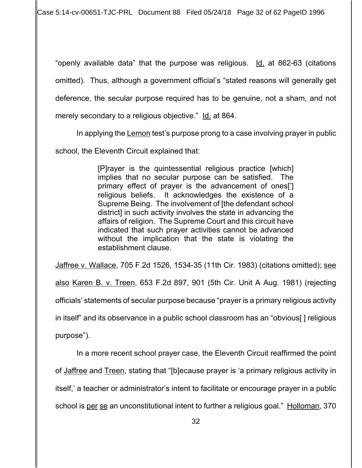Case 5:14-cv-00651-TJC-PRL Document 88 Filed 05/24/18 Page 32 of 62 PageID 1996

"openly available data" that the purpose was religious. Id. at 862-63 (citations omitted). Thus, although a government official's "stated reasons will generally get deference, the secular purpose required has to be genuine, not a sham, and not merely secondary to a religious objective." Id. at 864.

In applying the Lemon test's purpose prong to a case involving prayer in public

school, the Eleventh Circuit explained that:

[P]rayer is the quintessential religious practice [which] implies that no secular purpose can be satisfied. The primary effect of prayer is the advancement of ones['] religious beliefs. It acknowledges the existence of a Supreme Being. The involvement of [the defendant school district] in such activity involves the state in advancing the affairs of religion. The Supreme Court and this circuit have indicated that such prayer activities cannot be advanced without the implication that the state is violating the establishment clause.

Jaffree v. Wallace, 705 F.2d 1526, 1534-35 (11th Cir. 1983) (citations omitted); see also Karen B. v. Treen, 653 F.2d 897, 901 (5th Cir. Unit A Aug. 1981) (rejecting officials' statements of secular purpose because "prayer is a primary religious activity in itself" and its observance in a public school classroom has an "obvious[ ] religious purpose").

In a more recent school prayer case, the Eleventh Circuit reaffirmed the point of Jaffree and Treen, stating that "[b]ecause prayer is 'a primary religious activity in itself,' a teacher or administrator's intent to facilitate or encourage prayer in a public school is per se an unconstitutional intent to further a religious goal." Holloman, 370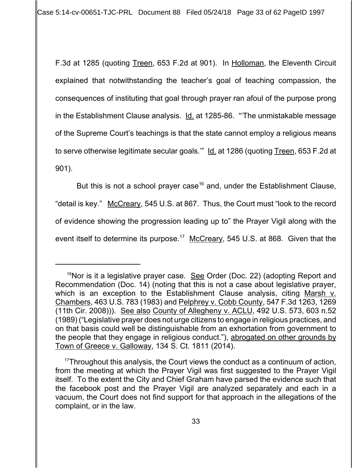Case 5:14-cv-00651-TJC-PRL Document 88 Filed 05/24/18 Page 33 of 62 PageID 1997

F.3d at 1285 (quoting Treen, 653 F.2d at 901). In Holloman, the Eleventh Circuit explained that notwithstanding the teacher's goal of teaching compassion, the consequences of instituting that goal through prayer ran afoul of the purpose prong in the Establishment Clause analysis. Id. at 1285-86. "The unmistakable message of the Supreme Court's teachings is that the state cannot employ a religious means to serve otherwise legitimate secular goals." Id. at 1286 (quoting Treen, 653 F.2d at 901).

But this is not a school prayer case<sup>16</sup> and, under the Establishment Clause, "detail is key." McCreary, 545 U.S. at 867. Thus, the Court must "look to the record of evidence showing the progression leading up to" the Prayer Vigil along with the event itself to determine its purpose.<sup>17</sup> McCreary, 545 U.S. at 868. Given that the

<sup>&</sup>lt;sup>16</sup>Nor is it a legislative prayer case. <u>See</u> Order (Doc. 22) (adopting Report and Recommendation (Doc. 14) (noting that this is not a case about legislative prayer, which is an exception to the Establishment Clause analysis, citing Marsh v. Chambers, 463 U.S. 783 (1983) and Pelphrey v. Cobb County, 547 F.3d 1263, 1269 (11th Cir. 2008))). See also County of Allegheny v. ACLU, 492 U.S. 573, 603 n.52 (1989) ("Legislative prayer does not urge citizens to engage in religious practices, and on that basis could well be distinguishable from an exhortation from government to the people that they engage in religious conduct."), abrogated on other grounds by Town of Greece v. Galloway, 134 S. Ct. 1811 (2014).

 $17$ Throughout this analysis, the Court views the conduct as a continuum of action, from the meeting at which the Prayer Vigil was first suggested to the Prayer Vigil itself. To the extent the City and Chief Graham have parsed the evidence such that the facebook post and the Prayer Vigil are analyzed separately and each in a vacuum, the Court does not find support for that approach in the allegations of the complaint, or in the law.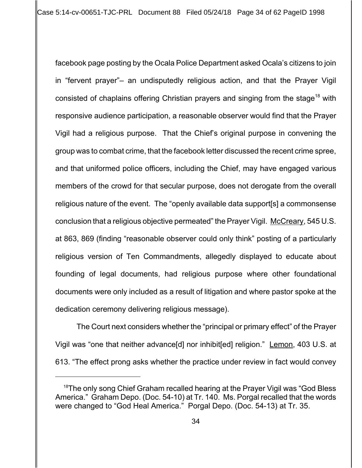facebook page posting by the Ocala Police Department asked Ocala's citizens to join in "fervent prayer"– an undisputedly religious action, and that the Prayer Vigil consisted of chaplains offering Christian prayers and singing from the stage<sup>18</sup> with responsive audience participation, a reasonable observer would find that the Prayer Vigil had a religious purpose. That the Chief's original purpose in convening the group was to combat crime, that the facebook letter discussed the recent crime spree, and that uniformed police officers, including the Chief, may have engaged various members of the crowd for that secular purpose, does not derogate from the overall religious nature of the event. The "openly available data support[s] a commonsense conclusion that a religious objective permeated" the Prayer Vigil. McCreary, 545 U.S. at 863, 869 (finding "reasonable observer could only think" posting of a particularly religious version of Ten Commandments, allegedly displayed to educate about founding of legal documents, had religious purpose where other foundational documents were only included as a result of litigation and where pastor spoke at the dedication ceremony delivering religious message).

The Court next considers whether the "principal or primary effect" of the Prayer Vigil was "one that neither advance[d] nor inhibit[ed] religion." Lemon, 403 U.S. at 613. "The effect prong asks whether the practice under review in fact would convey

<sup>&</sup>lt;sup>18</sup>The only song Chief Graham recalled hearing at the Prayer Vigil was "God Bless" America." Graham Depo. (Doc. 54-10) at Tr. 140. Ms. Porgal recalled that the words were changed to "God Heal America." Porgal Depo. (Doc. 54-13) at Tr. 35.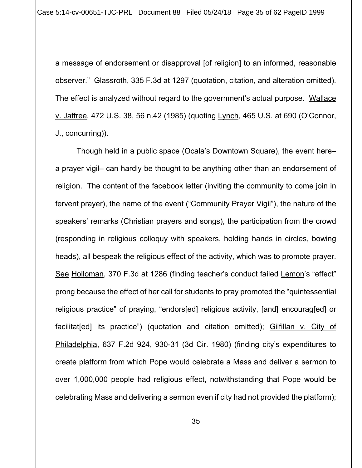a message of endorsement or disapproval [of religion] to an informed, reasonable observer." Glassroth, 335 F.3d at 1297 (quotation, citation, and alteration omitted). The effect is analyzed without regard to the government's actual purpose. Wallace v. Jaffree, 472 U.S. 38, 56 n.42 (1985) (quoting Lynch, 465 U.S. at 690 (O'Connor, J., concurring)).

Though held in a public space (Ocala's Downtown Square), the event here– a prayer vigil– can hardly be thought to be anything other than an endorsement of religion. The content of the facebook letter (inviting the community to come join in fervent prayer), the name of the event ("Community Prayer Vigil"), the nature of the speakers' remarks (Christian prayers and songs), the participation from the crowd (responding in religious colloquy with speakers, holding hands in circles, bowing heads), all bespeak the religious effect of the activity, which was to promote prayer. See Holloman, 370 F.3d at 1286 (finding teacher's conduct failed Lemon's "effect" prong because the effect of her call for students to pray promoted the "quintessential religious practice" of praying, "endors[ed] religious activity, [and] encourag[ed] or facilitat[ed] its practice") (quotation and citation omitted); Gilfillan v. City of Philadelphia, 637 F.2d 924, 930-31 (3d Cir. 1980) (finding city's expenditures to create platform from which Pope would celebrate a Mass and deliver a sermon to over 1,000,000 people had religious effect, notwithstanding that Pope would be celebrating Mass and delivering a sermon even if city had not provided the platform);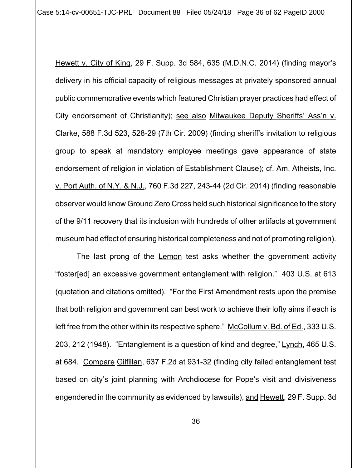Hewett v. City of King, 29 F. Supp. 3d 584, 635 (M.D.N.C. 2014) (finding mayor's delivery in his official capacity of religious messages at privately sponsored annual public commemorative events which featured Christian prayer practices had effect of City endorsement of Christianity); see also Milwaukee Deputy Sheriffs' Ass'n v. Clarke, 588 F.3d 523, 528-29 (7th Cir. 2009) (finding sheriff's invitation to religious group to speak at mandatory employee meetings gave appearance of state endorsement of religion in violation of Establishment Clause); cf. Am. Atheists, Inc. v. Port Auth. of N.Y. & N.J., 760 F.3d 227, 243-44 (2d Cir. 2014) (finding reasonable observer would know Ground Zero Cross held such historical significance to the story of the 9/11 recovery that its inclusion with hundreds of other artifacts at government museum had effect of ensuring historical completeness and not of promoting religion).

The last prong of the Lemon test asks whether the government activity "foster[ed] an excessive government entanglement with religion." 403 U.S. at 613 (quotation and citations omitted). "For the First Amendment rests upon the premise that both religion and government can best work to achieve their lofty aims if each is left free from the other within its respective sphere." McCollum v. Bd. of Ed., 333 U.S. 203, 212 (1948). "Entanglement is a question of kind and degree," Lynch, 465 U.S. at 684. Compare Gilfillan, 637 F.2d at 931-32 (finding city failed entanglement test based on city's joint planning with Archdiocese for Pope's visit and divisiveness engendered in the community as evidenced by lawsuits), and Hewett, 29 F. Supp. 3d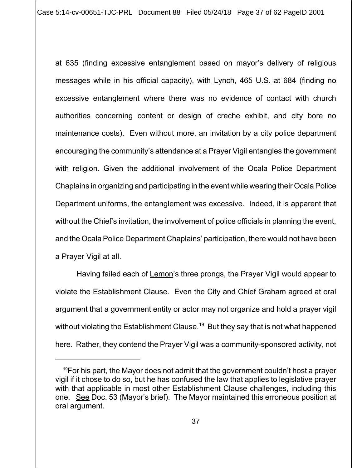Case 5:14-cv-00651-TJC-PRL Document 88 Filed 05/24/18 Page 37 of 62 PageID 2001

at 635 (finding excessive entanglement based on mayor's delivery of religious messages while in his official capacity), with Lynch, 465 U.S. at 684 (finding no excessive entanglement where there was no evidence of contact with church authorities concerning content or design of creche exhibit, and city bore no maintenance costs). Even without more, an invitation by a city police department encouraging the community's attendance at a Prayer Vigil entangles the government with religion. Given the additional involvement of the Ocala Police Department Chaplains in organizing and participating in the event while wearing their Ocala Police Department uniforms, the entanglement was excessive. Indeed, it is apparent that without the Chief's invitation, the involvement of police officials in planning the event, and the Ocala Police Department Chaplains' participation, there would not have been a Prayer Vigil at all.

Having failed each of Lemon's three prongs, the Prayer Vigil would appear to violate the Establishment Clause. Even the City and Chief Graham agreed at oral argument that a government entity or actor may not organize and hold a prayer vigil without violating the Establishment Clause.<sup>19</sup> But they say that is not what happened here. Rather, they contend the Prayer Vigil was a community-sponsored activity, not

 $19$ For his part, the Mayor does not admit that the government couldn't host a prayer vigil if it chose to do so, but he has confused the law that applies to legislative prayer with that applicable in most other Establishment Clause challenges, including this one. See Doc. 53 (Mayor's brief). The Mayor maintained this erroneous position at oral argument.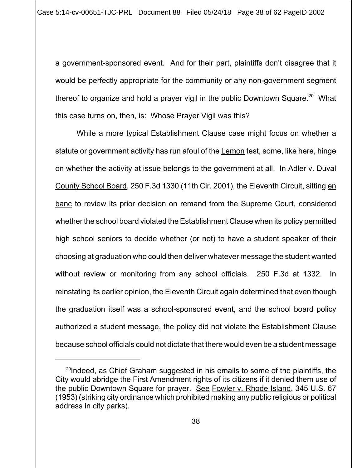a government-sponsored event. And for their part, plaintiffs don't disagree that it would be perfectly appropriate for the community or any non-government segment thereof to organize and hold a prayer vigil in the public Downtown Square. $20$  What this case turns on, then, is: Whose Prayer Vigil was this?

While a more typical Establishment Clause case might focus on whether a statute or government activity has run afoul of the Lemon test, some, like here, hinge on whether the activity at issue belongs to the government at all. In Adler v. Duval County School Board, 250 F.3d 1330 (11th Cir. 2001), the Eleventh Circuit, sitting en banc to review its prior decision on remand from the Supreme Court, considered whether the school board violated the Establishment Clause when its policy permitted high school seniors to decide whether (or not) to have a student speaker of their choosing at graduation who could then deliver whatever message the student wanted without review or monitoring from any school officials. 250 F.3d at 1332. In reinstating its earlier opinion, the Eleventh Circuit again determined that even though the graduation itself was a school-sponsored event, and the school board policy authorized a student message, the policy did not violate the Establishment Clause because school officials could not dictate that there would even be a student message

 $^{20}$ Indeed, as Chief Graham suggested in his emails to some of the plaintiffs, the City would abridge the First Amendment rights of its citizens if it denied them use of the public Downtown Square for prayer. See Fowler v. Rhode Island, 345 U.S. 67 (1953) (striking city ordinance which prohibited making any public religious or political address in city parks).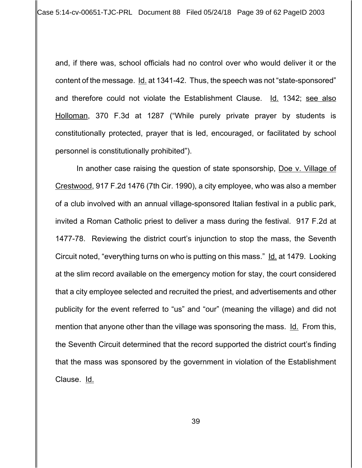and, if there was, school officials had no control over who would deliver it or the content of the message. Id. at 1341-42. Thus, the speech was not "state-sponsored" and therefore could not violate the Establishment Clause. Id. 1342; see also Holloman, 370 F.3d at 1287 ("While purely private prayer by students is constitutionally protected, prayer that is led, encouraged, or facilitated by school personnel is constitutionally prohibited").

In another case raising the question of state sponsorship, Doe v. Village of Crestwood, 917 F.2d 1476 (7th Cir. 1990), a city employee, who was also a member of a club involved with an annual village-sponsored Italian festival in a public park, invited a Roman Catholic priest to deliver a mass during the festival. 917 F.2d at 1477-78. Reviewing the district court's injunction to stop the mass, the Seventh Circuit noted, "everything turns on who is putting on this mass." Id. at 1479. Looking at the slim record available on the emergency motion for stay, the court considered that a city employee selected and recruited the priest, and advertisements and other publicity for the event referred to "us" and "our" (meaning the village) and did not mention that anyone other than the village was sponsoring the mass. Id. From this, the Seventh Circuit determined that the record supported the district court's finding that the mass was sponsored by the government in violation of the Establishment Clause. <u>Id.</u>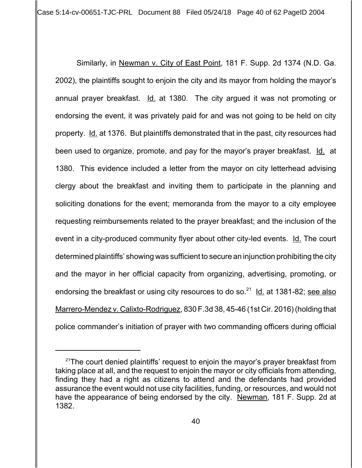Case 5:14-cv-00651-TJC-PRL Document 88 Filed 05/24/18 Page 40 of 62 PageID 2004

Similarly, in Newman v. City of East Point, 181 F. Supp. 2d 1374 (N.D. Ga. 2002), the plaintiffs sought to enjoin the city and its mayor from holding the mayor's annual prayer breakfast. Id. at 1380. The city argued it was not promoting or endorsing the event, it was privately paid for and was not going to be held on city property. Id. at 1376. But plaintiffs demonstrated that in the past, city resources had been used to organize, promote, and pay for the mayor's prayer breakfast. Id. at 1380. This evidence included a letter from the mayor on city letterhead advising clergy about the breakfast and inviting them to participate in the planning and soliciting donations for the event; memoranda from the mayor to a city employee requesting reimbursements related to the prayer breakfast; and the inclusion of the event in a city-produced community flyer about other city-led events. Id. The court determined plaintiffs' showing was sufficient to secure an injunction prohibiting the city and the mayor in her official capacity from organizing, advertising, promoting, or endorsing the breakfast or using city resources to do so.<sup>21</sup> Id. at 1381-82; see also Marrero-Mendez v. Calixto-Rodriguez, 830 F.3d 38, 45-46 (1st Cir. 2016) (holding that police commander's initiation of prayer with two commanding officers during official

 $21$ The court denied plaintiffs' request to enjoin the mayor's prayer breakfast from taking place at all, and the request to enjoin the mayor or city officials from attending, finding they had a right as citizens to attend and the defendants had provided assurance the event would not use city facilities, funding, or resources, and would not have the appearance of being endorsed by the city. Newman, 181 F. Supp. 2d at 1382.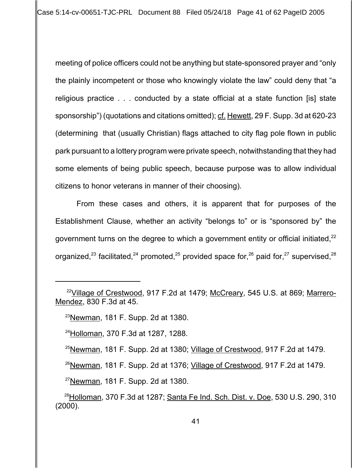meeting of police officers could not be anything but state-sponsored prayer and "only the plainly incompetent or those who knowingly violate the law" could deny that "a religious practice . . . conducted by a state official at a state function [is] state sponsorship") (quotations and citations omitted); cf. Hewett, 29 F. Supp. 3d at 620-23 (determining that (usually Christian) flags attached to city flag pole flown in public park pursuant to a lottery program were private speech, notwithstanding that they had some elements of being public speech, because purpose was to allow individual citizens to honor veterans in manner of their choosing).

From these cases and others, it is apparent that for purposes of the Establishment Clause, whether an activity "belongs to" or is "sponsored by" the government turns on the degree to which a government entity or official initiated,  $22$ organized,<sup>23</sup> facilitated,<sup>24</sup> promoted,<sup>25</sup> provided space for,<sup>26</sup> paid for,<sup>27</sup> supervised,<sup>28</sup>

 $^{26}$ Newman, 181 F. Supp. 2d at 1376; Village of Crestwood, 917 F.2d at 1479.

 $27$ Newman, 181 F. Supp. 2d at 1380.

<sup>&</sup>lt;sup>22</sup>Village of Crestwood, 917 F.2d at 1479; McCreary, 545 U.S. at 869; Marrero-Mendez, 830 F.3d at 45.

 $23$ Newman, 181 F. Supp. 2d at 1380.

24Holloman, 370 F.3d at 1287, 1288.

<sup>&</sup>lt;sup>25</sup>Newman, 181 F. Supp. 2d at 1380; Village of Crestwood. 917 F.2d at 1479.

<sup>&</sup>lt;sup>28</sup> Holloman, 370 F.3d at 1287; Santa Fe Ind. Sch. Dist. v. Doe, 530 U.S. 290, 310 (2000).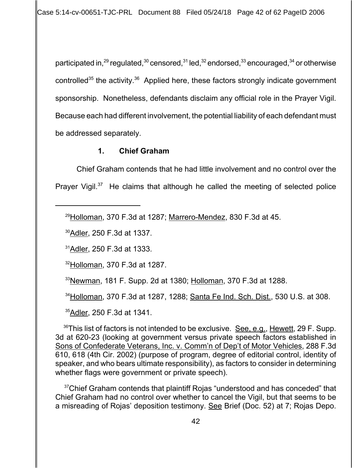Case 5:14-cv-00651-TJC-PRL Document 88 Filed 05/24/18 Page 42 of 62 PageID 2006

participated in,  $^{29}$  regulated,  $^{30}$  censored,  $^{31}$  led,  $^{32}$  endorsed,  $^{33}$  encouraged,  $^{34}$  or otherwise controlled<sup>35</sup> the activity.<sup>36</sup> Applied here, these factors strongly indicate government sponsorship. Nonetheless, defendants disclaim any official role in the Prayer Vigil. Because each had different involvement, the potential liability of each defendant must be addressed separately.

## **1. Chief Graham**

Chief Graham contends that he had little involvement and no control over the Prayer Vigil. $37$  He claims that although he called the meeting of selected police

<sup>29</sup>Holloman, 370 F.3d at 1287; Marrero-Mendez, 830 F.3d at 45.

30Adler, 250 F.3d at 1337.

31Adler, 250 F.3d at 1333.

32Holloman, 370 F.3d at 1287.

33Newman, 181 F. Supp. 2d at 1380; Holloman, 370 F.3d at 1288.

34Holloman, 370 F.3d at 1287, 1288; Santa Fe Ind. Sch. Dist., 530 U.S. at 308.

35Adler, 250 F.3d at 1341.

 $36$ This list of factors is not intended to be exclusive. See, e.g., Hewett, 29 F. Supp. 3d at 620-23 (looking at government versus private speech factors established in Sons of Confederate Veterans, Inc. v. Comm'n of Dep't of Motor Vehicles, 288 F.3d 610, 618 (4th Cir. 2002) (purpose of program, degree of editorial control, identity of speaker, and who bears ultimate responsibility), as factors to consider in determining whether flags were government or private speech).

<sup>37</sup>Chief Graham contends that plaintiff Rojas "understood and has conceded" that Chief Graham had no control over whether to cancel the Vigil, but that seems to be a misreading of Rojas' deposition testimony. See Brief (Doc. 52) at 7; Rojas Depo.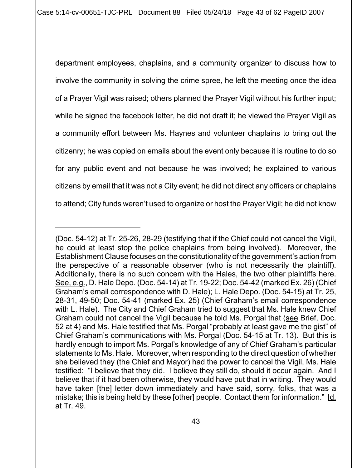department employees, chaplains, and a community organizer to discuss how to involve the community in solving the crime spree, he left the meeting once the idea of a Prayer Vigil was raised; others planned the Prayer Vigil without his further input; while he signed the facebook letter, he did not draft it; he viewed the Prayer Vigil as a community effort between Ms. Haynes and volunteer chaplains to bring out the citizenry; he was copied on emails about the event only because it is routine to do so for any public event and not because he was involved; he explained to various citizens by email that it was not a City event; he did not direct any officers or chaplains to attend; City funds weren't used to organize or host the Prayer Vigil; he did not know

<sup>(</sup>Doc. 54-12) at Tr. 25-26, 28-29 (testifying that if the Chief could not cancel the Vigil, he could at least stop the police chaplains from being involved). Moreover, the Establishment Clause focuses on the constitutionality of the government's action from the perspective of a reasonable observer (who is not necessarily the plaintiff). Additionally, there is no such concern with the Hales, the two other plaintiffs here. See, e.g., D. Hale Depo. (Doc. 54-14) at Tr. 19-22; Doc. 54-42 (marked Ex. 26) (Chief Graham's email correspondence with D. Hale); L. Hale Depo. (Doc. 54-15) at Tr. 25, 28-31, 49-50; Doc. 54-41 (marked Ex. 25) (Chief Graham's email correspondence with L. Hale). The City and Chief Graham tried to suggest that Ms. Hale knew Chief Graham could not cancel the Vigil because he told Ms. Porgal that (see Brief, Doc. 52 at 4) and Ms. Hale testified that Ms. Porgal "probably at least gave me the gist" of Chief Graham's communications with Ms. Porgal (Doc. 54-15 at Tr. 13). But this is hardly enough to import Ms. Porgal's knowledge of any of Chief Graham's particular statements to Ms. Hale. Moreover, when responding to the direct question of whether she believed they (the Chief and Mayor) had the power to cancel the Vigil, Ms. Hale testified: "I believe that they did. I believe they still do, should it occur again. And I believe that if it had been otherwise, they would have put that in writing. They would have taken [the] letter down immediately and have said, sorry, folks, that was a mistake; this is being held by these [other] people. Contact them for information." Id. at Tr. 49.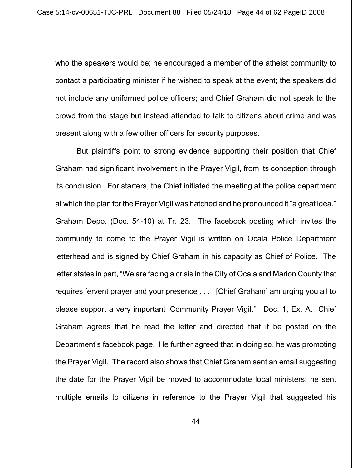who the speakers would be; he encouraged a member of the atheist community to contact a participating minister if he wished to speak at the event; the speakers did not include any uniformed police officers; and Chief Graham did not speak to the crowd from the stage but instead attended to talk to citizens about crime and was present along with a few other officers for security purposes.

But plaintiffs point to strong evidence supporting their position that Chief Graham had significant involvement in the Prayer Vigil, from its conception through its conclusion. For starters, the Chief initiated the meeting at the police department at which the plan for the Prayer Vigil was hatched and he pronounced it "a great idea." Graham Depo. (Doc. 54-10) at Tr. 23. The facebook posting which invites the community to come to the Prayer Vigil is written on Ocala Police Department letterhead and is signed by Chief Graham in his capacity as Chief of Police. The letter states in part, "We are facing a crisis in the City of Ocala and Marion County that requires fervent prayer and your presence . . . I [Chief Graham] am urging you all to please support a very important 'Community Prayer Vigil.'" Doc. 1, Ex. A. Chief Graham agrees that he read the letter and directed that it be posted on the Department's facebook page. He further agreed that in doing so, he was promoting the Prayer Vigil. The record also shows that Chief Graham sent an email suggesting the date for the Prayer Vigil be moved to accommodate local ministers; he sent multiple emails to citizens in reference to the Prayer Vigil that suggested his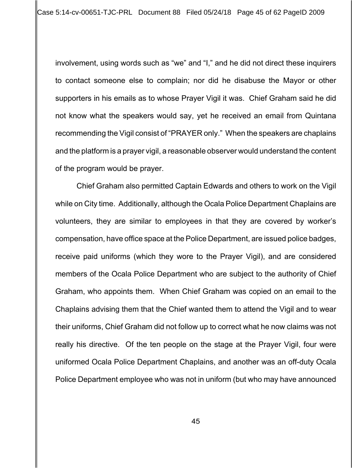involvement, using words such as "we" and "I," and he did not direct these inquirers to contact someone else to complain; nor did he disabuse the Mayor or other supporters in his emails as to whose Prayer Vigil it was. Chief Graham said he did not know what the speakers would say, yet he received an email from Quintana recommending the Vigil consist of "PRAYER only." When the speakers are chaplains and the platform is a prayer vigil, a reasonable observer would understand the content of the program would be prayer.

Chief Graham also permitted Captain Edwards and others to work on the Vigil while on City time. Additionally, although the Ocala Police Department Chaplains are volunteers, they are similar to employees in that they are covered by worker's compensation, have office space at the Police Department, are issued police badges, receive paid uniforms (which they wore to the Prayer Vigil), and are considered members of the Ocala Police Department who are subject to the authority of Chief Graham, who appoints them. When Chief Graham was copied on an email to the Chaplains advising them that the Chief wanted them to attend the Vigil and to wear their uniforms, Chief Graham did not follow up to correct what he now claims was not really his directive. Of the ten people on the stage at the Prayer Vigil, four were uniformed Ocala Police Department Chaplains, and another was an off-duty Ocala Police Department employee who was not in uniform (but who may have announced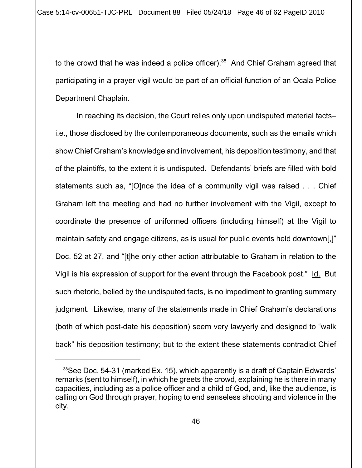to the crowd that he was indeed a police officer).<sup>38</sup> And Chief Graham agreed that participating in a prayer vigil would be part of an official function of an Ocala Police Department Chaplain.

In reaching its decision, the Court relies only upon undisputed material facts– i.e., those disclosed by the contemporaneous documents, such as the emails which show Chief Graham's knowledge and involvement, his deposition testimony, and that of the plaintiffs, to the extent it is undisputed. Defendants' briefs are filled with bold statements such as, "[O]nce the idea of a community vigil was raised . . . Chief Graham left the meeting and had no further involvement with the Vigil, except to coordinate the presence of uniformed officers (including himself) at the Vigil to maintain safety and engage citizens, as is usual for public events held downtown[,]" Doc. 52 at 27, and "[t]he only other action attributable to Graham in relation to the Vigil is his expression of support for the event through the Facebook post." Id. But such rhetoric, belied by the undisputed facts, is no impediment to granting summary judgment. Likewise, many of the statements made in Chief Graham's declarations (both of which post-date his deposition) seem very lawyerly and designed to "walk back" his deposition testimony; but to the extent these statements contradict Chief

<sup>&</sup>lt;sup>38</sup>See Doc. 54-31 (marked Ex. 15), which apparently is a draft of Captain Edwards' remarks (sent to himself), in which he greets the crowd, explaining he is there in many capacities, including as a police officer and a child of God, and, like the audience, is calling on God through prayer, hoping to end senseless shooting and violence in the city.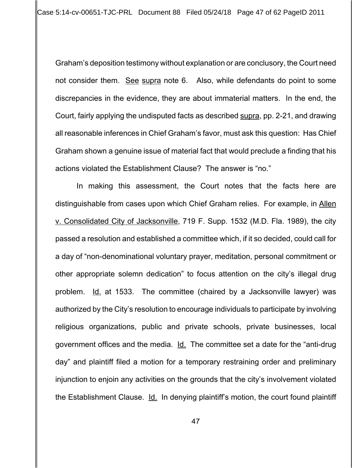Graham's deposition testimony without explanation or are conclusory, the Court need not consider them. See supra note 6. Also, while defendants do point to some discrepancies in the evidence, they are about immaterial matters. In the end, the Court, fairly applying the undisputed facts as described supra, pp. 2-21, and drawing all reasonable inferences in Chief Graham's favor, must ask this question: Has Chief Graham shown a genuine issue of material fact that would preclude a finding that his actions violated the Establishment Clause? The answer is "no."

In making this assessment, the Court notes that the facts here are distinguishable from cases upon which Chief Graham relies. For example, in Allen v. Consolidated City of Jacksonville, 719 F. Supp. 1532 (M.D. Fla. 1989), the city passed a resolution and established a committee which, if it so decided, could call for a day of "non-denominational voluntary prayer, meditation, personal commitment or other appropriate solemn dedication" to focus attention on the city's illegal drug problem. Id. at 1533. The committee (chaired by a Jacksonville lawyer) was authorized by the City's resolution to encourage individuals to participate by involving religious organizations, public and private schools, private businesses, local government offices and the media. Id. The committee set a date for the "anti-drug day" and plaintiff filed a motion for a temporary restraining order and preliminary injunction to enjoin any activities on the grounds that the city's involvement violated the Establishment Clause. Id. In denying plaintiff's motion, the court found plaintiff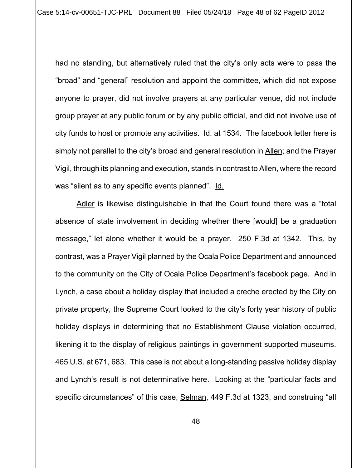had no standing, but alternatively ruled that the city's only acts were to pass the "broad" and "general" resolution and appoint the committee, which did not expose anyone to prayer, did not involve prayers at any particular venue, did not include group prayer at any public forum or by any public official, and did not involve use of city funds to host or promote any activities. Id. at 1534. The facebook letter here is simply not parallel to the city's broad and general resolution in Allen; and the Prayer Vigil, through its planning and execution, stands in contrast to Allen, where the record was "silent as to any specific events planned". Id.

Adler is likewise distinguishable in that the Court found there was a "total absence of state involvement in deciding whether there [would] be a graduation message," let alone whether it would be a prayer. 250 F.3d at 1342. This, by contrast, was a Prayer Vigil planned by the Ocala Police Department and announced to the community on the City of Ocala Police Department's facebook page. And in Lynch, a case about a holiday display that included a creche erected by the City on private property, the Supreme Court looked to the city's forty year history of public holiday displays in determining that no Establishment Clause violation occurred, likening it to the display of religious paintings in government supported museums. 465 U.S. at 671, 683. This case is not about a long-standing passive holiday display and Lynch's result is not determinative here. Looking at the "particular facts and specific circumstances" of this case, Selman, 449 F.3d at 1323, and construing "all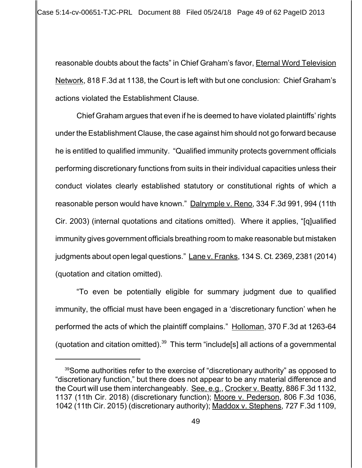reasonable doubts about the facts" in Chief Graham's favor, Eternal Word Television Network, 818 F.3d at 1138, the Court is left with but one conclusion: Chief Graham's actions violated the Establishment Clause.

Chief Graham argues that even if he is deemed to have violated plaintiffs' rights under the Establishment Clause, the case against him should not go forward because he is entitled to qualified immunity. "Qualified immunity protects government officials performing discretionary functions from suits in their individual capacities unless their conduct violates clearly established statutory or constitutional rights of which a reasonable person would have known." Dalrymple v. Reno, 334 F.3d 991, 994 (11th Cir. 2003) (internal quotations and citations omitted). Where it applies, "[q]ualified immunity gives government officials breathing room to make reasonable but mistaken judgments about open legal questions." Lane v. Franks, 134 S. Ct. 2369, 2381 (2014) (quotation and citation omitted).

"To even be potentially eligible for summary judgment due to qualified immunity, the official must have been engaged in a 'discretionary function' when he performed the acts of which the plaintiff complains." Holloman, 370 F.3d at 1263-64 (quotation and citation omitted).<sup>39</sup> This term "include[s] all actions of a governmental

<sup>&</sup>lt;sup>39</sup>Some authorities refer to the exercise of "discretionary authority" as opposed to "discretionary function," but there does not appear to be any material difference and the Court will use them interchangeably. See, e.g., Crocker v. Beatty, 886 F.3d 1132, 1137 (11th Cir. 2018) (discretionary function); Moore v. Pederson, 806 F.3d 1036, 1042 (11th Cir. 2015) (discretionary authority); Maddox v. Stephens, 727 F.3d 1109,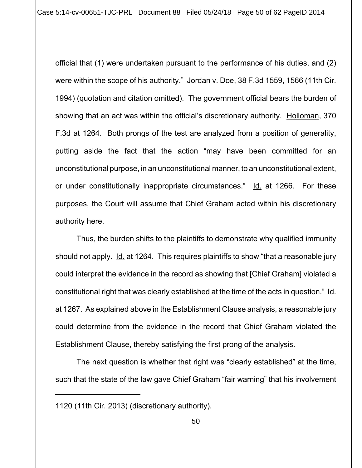Case 5:14-cv-00651-TJC-PRL Document 88 Filed 05/24/18 Page 50 of 62 PageID 2014

official that (1) were undertaken pursuant to the performance of his duties, and (2) were within the scope of his authority." Jordan v. Doe, 38 F.3d 1559, 1566 (11th Cir. 1994) (quotation and citation omitted). The government official bears the burden of showing that an act was within the official's discretionary authority. Holloman, 370 F.3d at 1264. Both prongs of the test are analyzed from a position of generality, putting aside the fact that the action "may have been committed for an unconstitutional purpose, in an unconstitutional manner, to an unconstitutional extent, or under constitutionally inappropriate circumstances." Id. at 1266. For these purposes, the Court will assume that Chief Graham acted within his discretionary authority here.

Thus, the burden shifts to the plaintiffs to demonstrate why qualified immunity should not apply. Id. at 1264. This requires plaintiffs to show "that a reasonable jury could interpret the evidence in the record as showing that [Chief Graham] violated a constitutional right that was clearly established at the time of the acts in question." Id. at 1267. As explained above in the Establishment Clause analysis, a reasonable jury could determine from the evidence in the record that Chief Graham violated the Establishment Clause, thereby satisfying the first prong of the analysis.

The next question is whether that right was "clearly established" at the time, such that the state of the law gave Chief Graham "fair warning" that his involvement

<sup>1120 (11</sup>th Cir. 2013) (discretionary authority).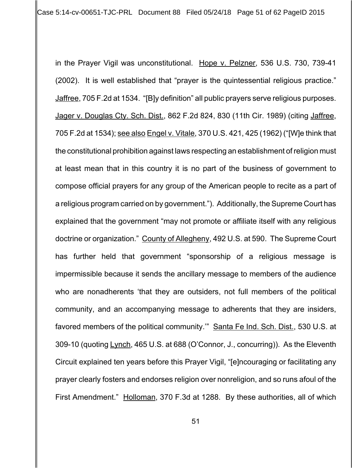Case 5:14-cv-00651-TJC-PRL Document 88 Filed 05/24/18 Page 51 of 62 PageID 2015

in the Prayer Vigil was unconstitutional. Hope v. Pelzner, 536 U.S. 730, 739-41 (2002). It is well established that "prayer is the quintessential religious practice." Jaffree, 705 F.2d at 1534. "[B]y definition" all public prayers serve religious purposes. Jager v. Douglas Cty. Sch. Dist., 862 F.2d 824, 830 (11th Cir. 1989) (citing Jaffree, 705 F.2d at 1534); see also Engel v. Vitale, 370 U.S. 421, 425 (1962) ("[W]e think that the constitutional prohibition against laws respecting an establishment of religion must at least mean that in this country it is no part of the business of government to compose official prayers for any group of the American people to recite as a part of a religious program carried on by government."). Additionally, the Supreme Court has explained that the government "may not promote or affiliate itself with any religious doctrine or organization." County of Allegheny, 492 U.S. at 590. The Supreme Court has further held that government "sponsorship of a religious message is impermissible because it sends the ancillary message to members of the audience who are nonadherents 'that they are outsiders, not full members of the political community, and an accompanying message to adherents that they are insiders, favored members of the political community." Santa Fe Ind. Sch. Dist., 530 U.S. at 309-10 (quoting Lynch, 465 U.S. at 688 (O'Connor, J., concurring)). As the Eleventh Circuit explained ten years before this Prayer Vigil, "[e]ncouraging or facilitating any prayer clearly fosters and endorses religion over nonreligion, and so runs afoul of the First Amendment." Holloman, 370 F.3d at 1288. By these authorities, all of which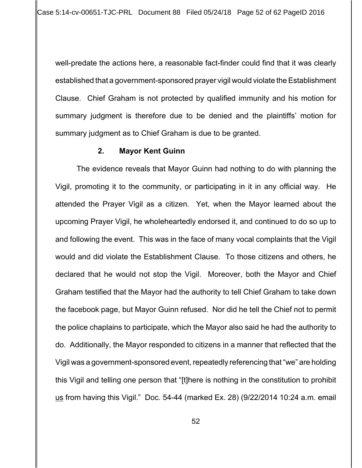well-predate the actions here, a reasonable fact-finder could find that it was clearly established that a government-sponsored prayer vigil would violate the Establishment Clause. Chief Graham is not protected by qualified immunity and his motion for summary judgment is therefore due to be denied and the plaintiffs' motion for summary judgment as to Chief Graham is due to be granted.

## **2. Mayor Kent Guinn**

The evidence reveals that Mayor Guinn had nothing to do with planning the Vigil, promoting it to the community, or participating in it in any official way. He attended the Prayer Vigil as a citizen. Yet, when the Mayor learned about the upcoming Prayer Vigil, he wholeheartedly endorsed it, and continued to do so up to and following the event. This was in the face of many vocal complaints that the Vigil would and did violate the Establishment Clause. To those citizens and others, he declared that he would not stop the Vigil. Moreover, both the Mayor and Chief Graham testified that the Mayor had the authority to tell Chief Graham to take down the facebook page, but Mayor Guinn refused. Nor did he tell the Chief not to permit the police chaplains to participate, which the Mayor also said he had the authority to do. Additionally, the Mayor responded to citizens in a manner that reflected that the Vigil was a government-sponsored event, repeatedly referencing that "we" are holding this Vigil and telling one person that "[t]here is nothing in the constitution to prohibit us from having this Vigil." Doc. 54-44 (marked Ex. 28) (9/22/2014 10:24 a.m. email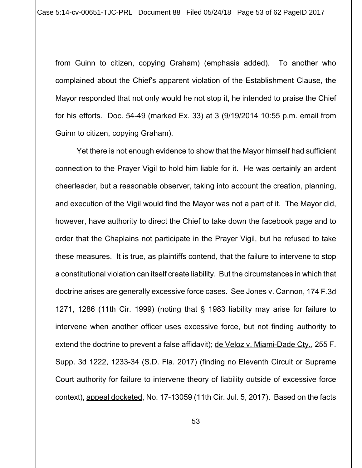from Guinn to citizen, copying Graham) (emphasis added). To another who complained about the Chief's apparent violation of the Establishment Clause, the Mayor responded that not only would he not stop it, he intended to praise the Chief for his efforts. Doc. 54-49 (marked Ex. 33) at 3 (9/19/2014 10:55 p.m. email from Guinn to citizen, copying Graham).

Yet there is not enough evidence to show that the Mayor himself had sufficient connection to the Prayer Vigil to hold him liable for it. He was certainly an ardent cheerleader, but a reasonable observer, taking into account the creation, planning, and execution of the Vigil would find the Mayor was not a part of it. The Mayor did, however, have authority to direct the Chief to take down the facebook page and to order that the Chaplains not participate in the Prayer Vigil, but he refused to take these measures. It is true, as plaintiffs contend, that the failure to intervene to stop a constitutional violation can itself create liability. But the circumstances in which that doctrine arises are generally excessive force cases. See Jones v. Cannon, 174 F.3d 1271, 1286 (11th Cir. 1999) (noting that § 1983 liability may arise for failure to intervene when another officer uses excessive force, but not finding authority to extend the doctrine to prevent a false affidavit); de Veloz v. Miami-Dade Cty., 255 F. Supp. 3d 1222, 1233-34 (S.D. Fla. 2017) (finding no Eleventh Circuit or Supreme Court authority for failure to intervene theory of liability outside of excessive force context), appeal docketed, No. 17-13059 (11th Cir. Jul. 5, 2017). Based on the facts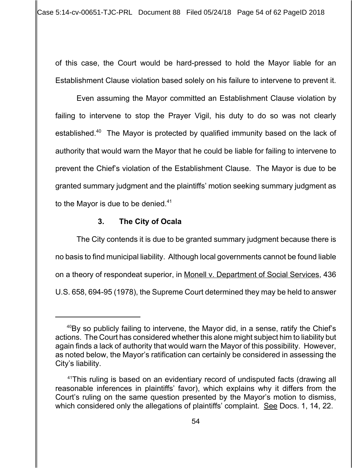of this case, the Court would be hard-pressed to hold the Mayor liable for an Establishment Clause violation based solely on his failure to intervene to prevent it.

Even assuming the Mayor committed an Establishment Clause violation by failing to intervene to stop the Prayer Vigil, his duty to do so was not clearly established.<sup>40</sup> The Mayor is protected by qualified immunity based on the lack of authority that would warn the Mayor that he could be liable for failing to intervene to prevent the Chief's violation of the Establishment Clause. The Mayor is due to be granted summary judgment and the plaintiffs' motion seeking summary judgment as to the Mayor is due to be denied. $41$ 

# **3. The City of Ocala**

The City contends it is due to be granted summary judgment because there is no basis to find municipal liability. Although local governments cannot be found liable on a theory of respondeat superior, in Monell v. Department of Social Services, 436 U.S. 658, 694-95 (1978), the Supreme Court determined they may be held to answer

 $40$ By so publicly failing to intervene, the Mayor did, in a sense, ratify the Chief's actions. The Court has considered whether this alone might subject him to liability but again finds a lack of authority that would warn the Mayor of this possibility. However, as noted below, the Mayor's ratification can certainly be considered in assessing the City's liability.

<sup>&</sup>lt;sup>41</sup>This ruling is based on an evidentiary record of undisputed facts (drawing all reasonable inferences in plaintiffs' favor), which explains why it differs from the Court's ruling on the same question presented by the Mayor's motion to dismiss, which considered only the allegations of plaintiffs' complaint. See Docs. 1, 14, 22.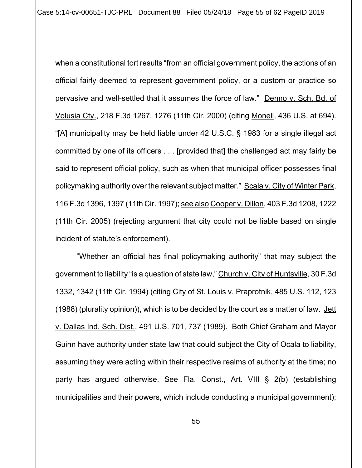when a constitutional tort results "from an official government policy, the actions of an official fairly deemed to represent government policy, or a custom or practice so pervasive and well-settled that it assumes the force of law." Denno v. Sch. Bd. of Volusia Cty., 218 F.3d 1267, 1276 (11th Cir. 2000) (citing Monell, 436 U.S. at 694). "[A] municipality may be held liable under 42 U.S.C. § 1983 for a single illegal act committed by one of its officers . . . [provided that] the challenged act may fairly be said to represent official policy, such as when that municipal officer possesses final policymaking authority over the relevant subject matter." Scala v. City of Winter Park, 116 F.3d 1396, 1397 (11th Cir. 1997); see also Cooper v. Dillon, 403 F.3d 1208, 1222 (11th Cir. 2005) (rejecting argument that city could not be liable based on single incident of statute's enforcement).

"Whether an official has final policymaking authority" that may subject the government to liability "is a question of state law," Church v. City of Huntsville, 30 F.3d 1332, 1342 (11th Cir. 1994) (citing City of St. Louis v. Praprotnik, 485 U.S. 112, 123 (1988) (plurality opinion)), which is to be decided by the court as a matter of law. Jett v. Dallas Ind. Sch. Dist., 491 U.S. 701, 737 (1989). Both Chief Graham and Mayor Guinn have authority under state law that could subject the City of Ocala to liability, assuming they were acting within their respective realms of authority at the time; no party has argued otherwise. See Fla. Const., Art. VIII § 2(b) (establishing municipalities and their powers, which include conducting a municipal government);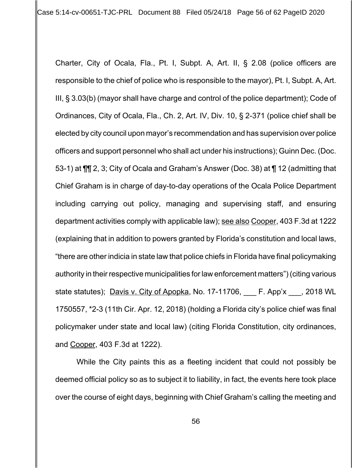Case 5:14-cv-00651-TJC-PRL Document 88 Filed 05/24/18 Page 56 of 62 PageID 2020

Charter, City of Ocala, Fla., Pt. I, Subpt. A, Art. II, § 2.08 (police officers are responsible to the chief of police who is responsible to the mayor), Pt. I, Subpt. A, Art. III, § 3.03(b) (mayor shall have charge and control of the police department); Code of Ordinances, City of Ocala, Fla., Ch. 2, Art. IV, Div. 10, § 2-371 (police chief shall be elected by city council upon mayor's recommendation and has supervision over police officers and support personnel who shall act under his instructions); Guinn Dec. (Doc. 53-1) at ¶¶ 2, 3; City of Ocala and Graham's Answer (Doc. 38) at ¶ 12 (admitting that Chief Graham is in charge of day-to-day operations of the Ocala Police Department including carrying out policy, managing and supervising staff, and ensuring department activities comply with applicable law); see also Cooper, 403 F.3d at 1222 (explaining that in addition to powers granted by Florida's constitution and local laws, "there are other indicia in state law that police chiefs in Florida have final policymaking authority in their respective municipalities for law enforcement matters") (citing various state statutes); Davis v. City of Apopka, No. 17-11706, F. App'x , 2018 WL 1750557, \*2-3 (11th Cir. Apr. 12, 2018) (holding a Florida city's police chief was final policymaker under state and local law) (citing Florida Constitution, city ordinances, and Cooper, 403 F.3d at 1222).

While the City paints this as a fleeting incident that could not possibly be deemed official policy so as to subject it to liability, in fact, the events here took place over the course of eight days, beginning with Chief Graham's calling the meeting and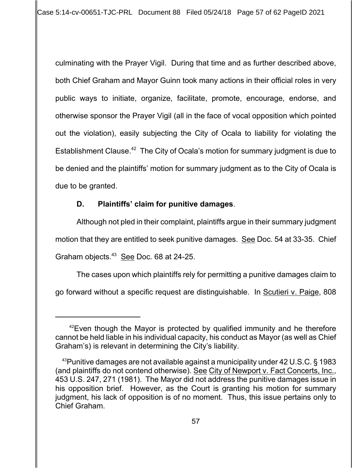culminating with the Prayer Vigil. During that time and as further described above, both Chief Graham and Mayor Guinn took many actions in their official roles in very public ways to initiate, organize, facilitate, promote, encourage, endorse, and otherwise sponsor the Prayer Vigil (all in the face of vocal opposition which pointed out the violation), easily subjecting the City of Ocala to liability for violating the Establishment Clause.<sup>42</sup> The City of Ocala's motion for summary judgment is due to be denied and the plaintiffs' motion for summary judgment as to the City of Ocala is due to be granted.

# **D. Plaintiffs' claim for punitive damages**.

Although not pled in their complaint, plaintiffs argue in their summary judgment motion that they are entitled to seek punitive damages. See Doc. 54 at 33-35. Chief Graham objects.43 See Doc. 68 at 24-25.

The cases upon which plaintiffs rely for permitting a punitive damages claim to go forward without a specific request are distinguishable. In Scutieri v. Paige, 808

 $42$  Even though the Mayor is protected by qualified immunity and he therefore cannot be held liable in his individual capacity, his conduct as Mayor (as well as Chief Graham's) is relevant in determining the City's liability.

<sup>&</sup>lt;sup>43</sup>Punitive damages are not available against a municipality under 42 U.S.C. § 1983 (and plaintiffs do not contend otherwise). See City of Newport v. Fact Concerts, Inc., 453 U.S. 247, 271 (1981). The Mayor did not address the punitive damages issue in his opposition brief. However, as the Court is granting his motion for summary judgment, his lack of opposition is of no moment. Thus, this issue pertains only to Chief Graham.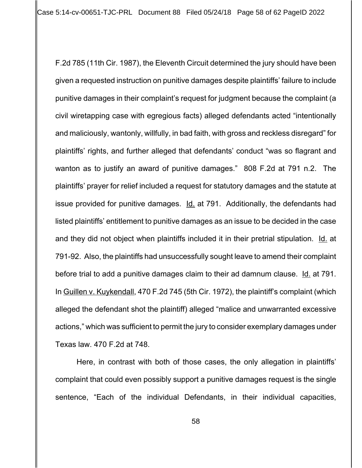F.2d 785 (11th Cir. 1987), the Eleventh Circuit determined the jury should have been given a requested instruction on punitive damages despite plaintiffs' failure to include punitive damages in their complaint's request for judgment because the complaint (a civil wiretapping case with egregious facts) alleged defendants acted "intentionally and maliciously, wantonly, willfully, in bad faith, with gross and reckless disregard" for plaintiffs' rights, and further alleged that defendants' conduct "was so flagrant and wanton as to justify an award of punitive damages." 808 F.2d at 791 n.2. The plaintiffs' prayer for relief included a request for statutory damages and the statute at issue provided for punitive damages. Id. at 791. Additionally, the defendants had listed plaintiffs' entitlement to punitive damages as an issue to be decided in the case and they did not object when plaintiffs included it in their pretrial stipulation. Id. at 791-92. Also, the plaintiffs had unsuccessfully sought leave to amend their complaint before trial to add a punitive damages claim to their ad damnum clause. Id. at 791. In Guillen v. Kuykendall, 470 F.2d 745 (5th Cir. 1972), the plaintiff's complaint (which alleged the defendant shot the plaintiff) alleged "malice and unwarranted excessive actions," which was sufficient to permit the jury to consider exemplary damages under Texas law. 470 F.2d at 748.

Here, in contrast with both of those cases, the only allegation in plaintiffs' complaint that could even possibly support a punitive damages request is the single sentence, "Each of the individual Defendants, in their individual capacities,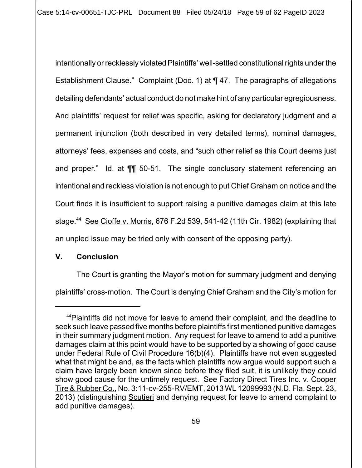intentionally or recklessly violated Plaintiffs' well-settled constitutional rights under the Establishment Clause." Complaint (Doc. 1) at ¶ 47. The paragraphs of allegations detailing defendants' actual conduct do not make hint of any particular egregiousness. And plaintiffs' request for relief was specific, asking for declaratory judgment and a permanent injunction (both described in very detailed terms), nominal damages, attorneys' fees, expenses and costs, and "such other relief as this Court deems just and proper."  $\underline{Id}$  at  $\P\P$  50-51. The single conclusory statement referencing an intentional and reckless violation is not enough to put Chief Graham on notice and the Court finds it is insufficient to support raising a punitive damages claim at this late stage.<sup>44</sup> See Cioffe v. Morris, 676 F.2d 539, 541-42 (11th Cir. 1982) (explaining that an unpled issue may be tried only with consent of the opposing party).

# **V. Conclusion**

The Court is granting the Mayor's motion for summary judgment and denying plaintiffs' cross-motion. The Court is denying Chief Graham and the City's motion for

<sup>&</sup>lt;sup>44</sup>Plaintiffs did not move for leave to amend their complaint, and the deadline to seek such leave passed five months before plaintiffs first mentioned punitive damages in their summary judgment motion. Any request for leave to amend to add a punitive damages claim at this point would have to be supported by a showing of good cause under Federal Rule of Civil Procedure 16(b)(4). Plaintiffs have not even suggested what that might be and, as the facts which plaintiffs now argue would support such a claim have largely been known since before they filed suit, it is unlikely they could show good cause for the untimely request. See Factory Direct Tires Inc. v. Cooper Tire & Rubber Co., No. 3:11-cv-255-RV/EMT, 2013 WL 12099993 (N.D. Fla. Sept. 23, 2013) (distinguishing Scutieri and denying request for leave to amend complaint to add punitive damages).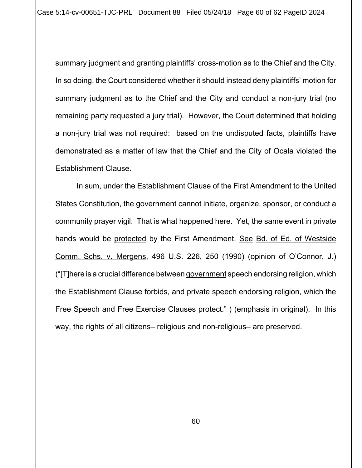summary judgment and granting plaintiffs' cross-motion as to the Chief and the City. In so doing, the Court considered whether it should instead deny plaintiffs' motion for summary judgment as to the Chief and the City and conduct a non-jury trial (no remaining party requested a jury trial). However, the Court determined that holding a non-jury trial was not required: based on the undisputed facts, plaintiffs have demonstrated as a matter of law that the Chief and the City of Ocala violated the Establishment Clause.

In sum, under the Establishment Clause of the First Amendment to the United States Constitution, the government cannot initiate, organize, sponsor, or conduct a community prayer vigil. That is what happened here. Yet, the same event in private hands would be protected by the First Amendment. See Bd. of Ed. of Westside Comm. Schs. v. Mergens, 496 U.S. 226, 250 (1990) (opinion of O'Connor, J.) ("[T]here is a crucial difference between government speech endorsing religion, which the Establishment Clause forbids, and private speech endorsing religion, which the Free Speech and Free Exercise Clauses protect." ) (emphasis in original). In this way, the rights of all citizens– religious and non-religious– are preserved.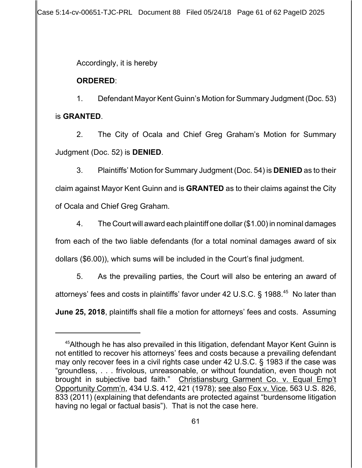Case 5:14-cv-00651-TJC-PRL Document 88 Filed 05/24/18 Page 61 of 62 PageID 2025

Accordingly, it is hereby

# **ORDERED**:

1. Defendant Mayor Kent Guinn's Motion for Summary Judgment (Doc. 53) is **GRANTED**.

2. The City of Ocala and Chief Greg Graham's Motion for Summary Judgment (Doc. 52) is **DENIED**.

3. Plaintiffs' Motion for Summary Judgment (Doc. 54) is **DENIED** as to their claim against Mayor Kent Guinn and is **GRANTED** as to their claims against the City of Ocala and Chief Greg Graham.

4. The Court will award each plaintiff one dollar (\$1.00) in nominal damages from each of the two liable defendants (for a total nominal damages award of six dollars (\$6.00)), which sums will be included in the Court's final judgment.

5. As the prevailing parties, the Court will also be entering an award of attorneys' fees and costs in plaintiffs' favor under 42 U.S.C.  $\S$  1988.<sup>45</sup> No later than **June 25, 2018**, plaintiffs shall file a motion for attorneys' fees and costs. Assuming

<sup>&</sup>lt;sup>45</sup>Although he has also prevailed in this litigation, defendant Mayor Kent Guinn is not entitled to recover his attorneys' fees and costs because a prevailing defendant may only recover fees in a civil rights case under 42 U.S.C. § 1983 if the case was "groundless, . . . frivolous, unreasonable, or without foundation, even though not brought in subjective bad faith." Christiansburg Garment Co. v. Equal Emp't Opportunity Comm'n, 434 U.S. 412, 421 (1978); see also Fox v. Vice, 563 U.S. 826, 833 (2011) (explaining that defendants are protected against "burdensome litigation having no legal or factual basis"). That is not the case here.